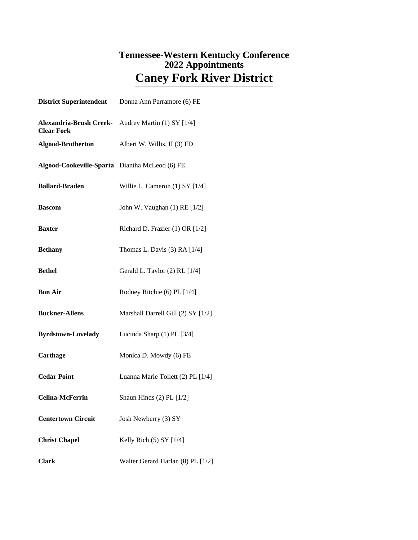#### **2022 Appointments Tennessee-Western Kentucky Conference Caney Fork River District**

|                                                | <b>District Superintendent</b> Donna Ann Parramore (6) FE |
|------------------------------------------------|-----------------------------------------------------------|
| <b>Clear Fork</b>                              | Alexandria-Brush Creek- Audrey Martin (1) SY [1/4]        |
| <b>Algood-Brotherton</b>                       | Albert W. Willis, II (3) FD                               |
| Algood-Cookeville-Sparta Diantha McLeod (6) FE |                                                           |
| <b>Ballard-Braden</b>                          | Willie L. Cameron $(1)$ SY $[1/4]$                        |
| <b>Bascom</b>                                  | John W. Vaughan (1) RE [1/2]                              |
| <b>Baxter</b>                                  | Richard D. Frazier (1) OR [1/2]                           |
| <b>Bethany</b>                                 | Thomas L. Davis $(3)$ RA $[1/4]$                          |
| <b>Bethel</b>                                  | Gerald L. Taylor (2) RL [1/4]                             |
| <b>Bon Air</b>                                 | Rodney Ritchie (6) PL [1/4]                               |
| <b>Buckner-Allens</b>                          | Marshall Darrell Gill (2) SY [1/2]                        |
| <b>Byrdstown-Lovelady</b>                      | Lucinda Sharp (1) PL [3/4]                                |
| Carthage                                       | Monica D. Mowdy (6) FE                                    |
| <b>Cedar Point</b>                             | Luanna Marie Tollett (2) PL [1/4]                         |
| Celina-McFerrin                                | Shaun Hinds $(2)$ PL $[1/2]$                              |
| <b>Centertown Circuit</b>                      | Josh Newberry (3) SY                                      |
| <b>Christ Chapel</b>                           | Kelly Rich $(5)$ SY $[1/4]$                               |
| <b>Clark</b>                                   | Walter Gerard Harlan (8) PL [1/2]                         |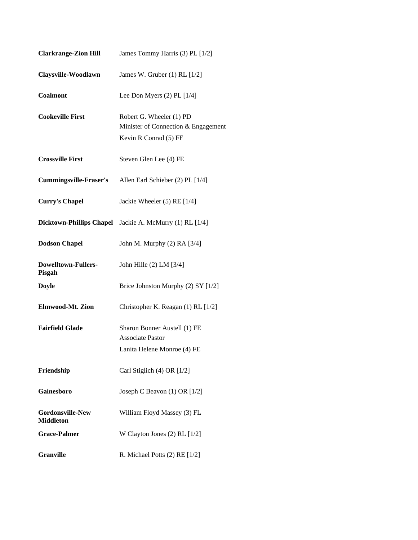| <b>Clarkrange-Zion Hill</b>                 | James Tommy Harris (3) PL [1/2]                                                          |
|---------------------------------------------|------------------------------------------------------------------------------------------|
| Claysville-Woodlawn                         | James W. Gruber (1) RL [1/2]                                                             |
| <b>Coalmont</b>                             | Lee Don Myers $(2)$ PL $[1/4]$                                                           |
| <b>Cookeville First</b>                     | Robert G. Wheeler (1) PD<br>Minister of Connection & Engagement<br>Kevin R Conrad (5) FE |
| <b>Crossville First</b>                     | Steven Glen Lee (4) FE                                                                   |
| <b>Cummingsville-Fraser's</b>               | Allen Earl Schieber (2) PL [1/4]                                                         |
| <b>Curry's Chapel</b>                       | Jackie Wheeler (5) RE [1/4]                                                              |
| <b>Dicktown-Phillips Chapel</b>             | Jackie A. McMurry (1) RL [1/4]                                                           |
| <b>Dodson Chapel</b>                        | John M. Murphy (2) RA [3/4]                                                              |
| <b>Dowelltown-Fullers-</b><br>Pisgah        | John Hille (2) LM [3/4]                                                                  |
| <b>Doyle</b>                                | Brice Johnston Murphy (2) SY [1/2]                                                       |
| Elmwood-Mt. Zion                            | Christopher K. Reagan (1) RL [1/2]                                                       |
| <b>Fairfield Glade</b>                      | Sharon Bonner Austell (1) FE<br><b>Associate Pastor</b>                                  |
|                                             | Lanita Helene Monroe (4) FE                                                              |
| Friendship                                  | Carl Stiglich (4) OR [1/2]                                                               |
| Gainesboro                                  | Joseph C Beavon (1) OR [1/2]                                                             |
| <b>Gordonsville-New</b><br><b>Middleton</b> | William Floyd Massey (3) FL                                                              |
| <b>Grace-Palmer</b>                         | W Clayton Jones (2) RL [1/2]                                                             |
| <b>Granville</b>                            | R. Michael Potts $(2)$ RE $[1/2]$                                                        |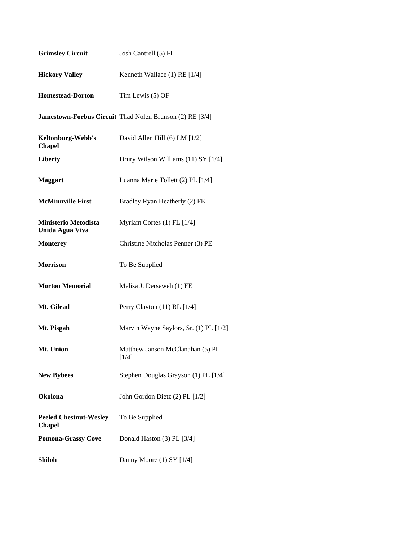| <b>Grimsley Circuit</b>                        | Josh Cantrell (5) FL                                            |
|------------------------------------------------|-----------------------------------------------------------------|
| <b>Hickory Valley</b>                          | Kenneth Wallace (1) RE [1/4]                                    |
| <b>Homestead-Dorton</b>                        | Tim Lewis (5) OF                                                |
|                                                | <b>Jamestown-Forbus Circuit Thad Nolen Brunson (2) RE [3/4]</b> |
| Keltonburg-Webb's<br><b>Chapel</b>             | David Allen Hill (6) LM [1/2]                                   |
| <b>Liberty</b>                                 | Drury Wilson Williams (11) SY [1/4]                             |
| <b>Maggart</b>                                 | Luanna Marie Tollett (2) PL [1/4]                               |
| <b>McMinnville First</b>                       | Bradley Ryan Heatherly (2) FE                                   |
| Ministerio Metodista<br>Unida Agua Viva        | Myriam Cortes (1) FL [1/4]                                      |
| <b>Monterey</b>                                | Christine Nitcholas Penner (3) PE                               |
| <b>Morrison</b>                                | To Be Supplied                                                  |
| <b>Morton Memorial</b>                         | Melisa J. Derseweh (1) FE                                       |
| Mt. Gilead                                     | Perry Clayton (11) RL [1/4]                                     |
| Mt. Pisgah                                     | Marvin Wayne Saylors, Sr. (1) PL [1/2]                          |
| Mt. Union                                      | Matthew Janson McClanahan (5) PL<br>$[1/4]$                     |
| <b>New Bybees</b>                              | Stephen Douglas Grayson (1) PL [1/4]                            |
| Okolona                                        | John Gordon Dietz (2) PL [1/2]                                  |
| <b>Peeled Chestnut-Wesley</b><br><b>Chapel</b> | To Be Supplied                                                  |
| <b>Pomona-Grassy Cove</b>                      | Donald Haston (3) PL [3/4]                                      |
| Shiloh                                         | Danny Moore (1) SY [1/4]                                        |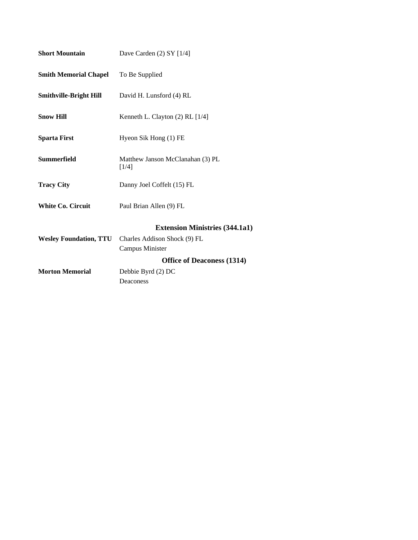| <b>Short Mountain</b>         | Dave Carden $(2)$ SY $[1/4]$              |
|-------------------------------|-------------------------------------------|
| <b>Smith Memorial Chapel</b>  | To Be Supplied                            |
| <b>Smithville-Bright Hill</b> | David H. Lunsford (4) RL                  |
| <b>Snow Hill</b>              | Kenneth L. Clayton (2) RL [1/4]           |
| <b>Sparta First</b>           | Hyeon Sik Hong (1) FE                     |
| <b>Summerfield</b>            | Matthew Janson McClanahan (3) PL<br>[1/4] |
| <b>Tracy City</b>             | Danny Joel Coffelt (15) FL                |
| <b>White Co. Circuit</b>      | Paul Brian Allen (9) FL                   |
|                               | <b>Extension Ministries (344.1a1)</b>     |
| <b>Wesley Foundation, TTU</b> | Charles Addison Shock (9) FL              |
|                               | Campus Minister                           |
|                               | <b>Office of Deaconess (1314)</b>         |
| <b>Morton Memorial</b>        | Debbie Byrd (2) DC                        |
|                               | Deaconess                                 |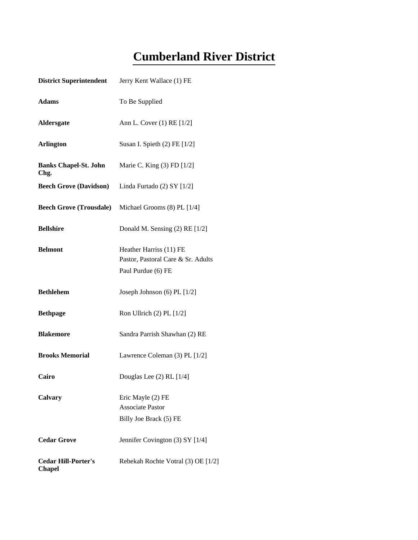## **Cumberland River District**

| <b>District Superintendent</b>              | Jerry Kent Wallace (1) FE                                                           |
|---------------------------------------------|-------------------------------------------------------------------------------------|
| <b>Adams</b>                                | To Be Supplied                                                                      |
| Aldersgate                                  | Ann L. Cover (1) RE [1/2]                                                           |
| <b>Arlington</b>                            | Susan I. Spieth (2) FE [1/2]                                                        |
| <b>Banks Chapel-St. John</b><br>Chg.        | Marie C. King (3) FD [1/2]                                                          |
| <b>Beech Grove (Davidson)</b>               | Linda Furtado $(2)$ SY $[1/2]$                                                      |
| <b>Beech Grove (Trousdale)</b>              | Michael Grooms (8) PL [1/4]                                                         |
| <b>Bellshire</b>                            | Donald M. Sensing $(2)$ RE $[1/2]$                                                  |
| <b>Belmont</b>                              | Heather Harriss (11) FE<br>Pastor, Pastoral Care & Sr. Adults<br>Paul Purdue (6) FE |
| <b>Bethlehem</b>                            | Joseph Johnson $(6)$ PL $[1/2]$                                                     |
| <b>Bethpage</b>                             | Ron Ullrich $(2)$ PL $[1/2]$                                                        |
| <b>Blakemore</b>                            | Sandra Parrish Shawhan (2) RE                                                       |
| <b>Brooks Memorial</b>                      | Lawrence Coleman (3) PL [1/2]                                                       |
| Cairo                                       | Douglas Lee $(2)$ RL $[1/4]$                                                        |
| Calvary                                     | Eric Mayle (2) FE<br><b>Associate Pastor</b><br>Billy Joe Brack (5) FE              |
| <b>Cedar Grove</b>                          | Jennifer Covington (3) SY [1/4]                                                     |
| <b>Cedar Hill-Porter's</b><br><b>Chapel</b> | Rebekah Rochte Votral (3) OE [1/2]                                                  |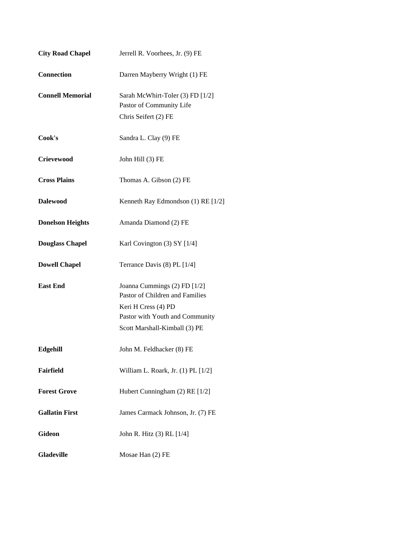| <b>City Road Chapel</b> | Jerrell R. Voorhees, Jr. (9) FE                                                                                                                            |
|-------------------------|------------------------------------------------------------------------------------------------------------------------------------------------------------|
| <b>Connection</b>       | Darren Mayberry Wright (1) FE                                                                                                                              |
| <b>Connell Memorial</b> | Sarah McWhirt-Toler (3) FD [1/2]<br>Pastor of Community Life<br>Chris Seifert (2) FE                                                                       |
| Cook's                  | Sandra L. Clay (9) FE                                                                                                                                      |
| <b>Crievewood</b>       | John Hill (3) FE                                                                                                                                           |
| <b>Cross Plains</b>     | Thomas A. Gibson (2) FE                                                                                                                                    |
| <b>Dalewood</b>         | Kenneth Ray Edmondson (1) RE [1/2]                                                                                                                         |
| <b>Donelson Heights</b> | Amanda Diamond (2) FE                                                                                                                                      |
| <b>Douglass Chapel</b>  | Karl Covington (3) SY [1/4]                                                                                                                                |
| <b>Dowell Chapel</b>    | Terrance Davis (8) PL [1/4]                                                                                                                                |
| <b>East End</b>         | Joanna Cummings (2) FD [1/2]<br>Pastor of Children and Families<br>Keri H Cress (4) PD<br>Pastor with Youth and Community<br>Scott Marshall-Kimball (3) PE |
| Edgehill                | John M. Feldhacker (8) FE                                                                                                                                  |
| <b>Fairfield</b>        | William L. Roark, Jr. (1) PL [1/2]                                                                                                                         |
| <b>Forest Grove</b>     | Hubert Cunningham (2) RE [1/2]                                                                                                                             |
| <b>Gallatin First</b>   | James Carmack Johnson, Jr. (7) FE                                                                                                                          |
| <b>Gideon</b>           | John R. Hitz (3) RL [1/4]                                                                                                                                  |
| <b>Gladeville</b>       | Mosae Han (2) FE                                                                                                                                           |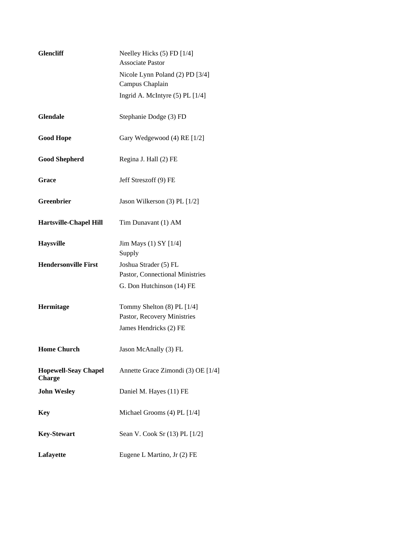| <b>Glencliff</b>                             | Neelley Hicks (5) FD [1/4]<br><b>Associate Pastor</b>     |
|----------------------------------------------|-----------------------------------------------------------|
|                                              | Nicole Lynn Poland (2) PD [3/4]<br>Campus Chaplain        |
|                                              | Ingrid A. McIntyre $(5)$ PL $[1/4]$                       |
| <b>Glendale</b>                              | Stephanie Dodge (3) FD                                    |
| <b>Good Hope</b>                             | Gary Wedgewood (4) RE [1/2]                               |
| <b>Good Shepherd</b>                         | Regina J. Hall (2) FE                                     |
| Grace                                        | Jeff Streszoff (9) FE                                     |
| Greenbrier                                   | Jason Wilkerson (3) PL [1/2]                              |
| Hartsville-Chapel Hill                       | Tim Dunavant (1) AM                                       |
| <b>Haysville</b>                             | Jim Mays (1) SY [1/4]<br>Supply                           |
| <b>Hendersonville First</b>                  | Joshua Strader (5) FL<br>Pastor, Connectional Ministries  |
|                                              | G. Don Hutchinson (14) FE                                 |
| Hermitage                                    | Tommy Shelton (8) PL [1/4]<br>Pastor, Recovery Ministries |
|                                              | James Hendricks (2) FE                                    |
| <b>Home Church</b>                           | Jason McAnally (3) FL                                     |
| <b>Hopewell-Seay Chapel</b><br><b>Charge</b> | Annette Grace Zimondi (3) OE [1/4]                        |
| <b>John Wesley</b>                           | Daniel M. Hayes (11) FE                                   |
| <b>Key</b>                                   | Michael Grooms (4) PL [1/4]                               |
| <b>Key-Stewart</b>                           | Sean V. Cook Sr (13) PL [1/2]                             |
| Lafayette                                    | Eugene L Martino, Jr (2) FE                               |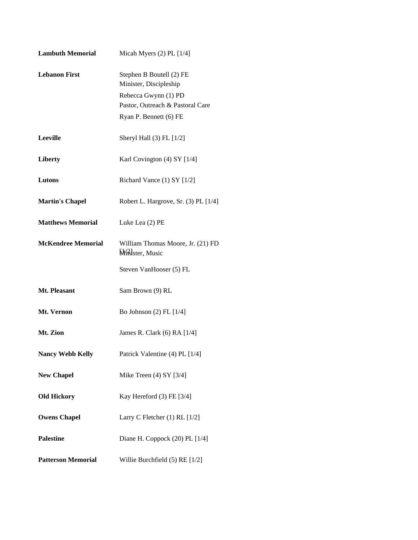| <b>Lambuth Memorial</b>   | Micah Myers $(2)$ PL $[1/4]$                                                                                                             |
|---------------------------|------------------------------------------------------------------------------------------------------------------------------------------|
| <b>Lebanon First</b>      | Stephen B Boutell (2) FE<br>Minister, Discipleship<br>Rebecca Gwynn (1) PD<br>Pastor, Outreach & Pastoral Care<br>Ryan P. Bennett (6) FE |
| Leeville                  | Sheryl Hall $(3)$ FL $[1/2]$                                                                                                             |
| <b>Liberty</b>            | Karl Covington (4) SY [1/4]                                                                                                              |
| Lutons                    | Richard Vance (1) SY [1/2]                                                                                                               |
| <b>Martin's Chapel</b>    | Robert L. Hargrove, Sr. (3) PL [1/4]                                                                                                     |
| <b>Matthews Memorial</b>  | Luke Lea (2) PE                                                                                                                          |
| <b>McKendree Memorial</b> | William Thomas Moore, Jr. (21) FD<br>Minster, Music                                                                                      |
|                           | Steven VanHooser (5) FL                                                                                                                  |
| Mt. Pleasant              | Sam Brown (9) RL                                                                                                                         |
| Mt. Vernon                | Bo Johnson $(2)$ FL $[1/4]$                                                                                                              |
| Mt. Zion                  | James R. Clark (6) RA [1/4]                                                                                                              |
| <b>Nancy Webb Kelly</b>   | Patrick Valentine (4) PL [1/4]                                                                                                           |
| <b>New Chapel</b>         | Mike Treen $(4)$ SY $[3/4]$                                                                                                              |
| <b>Old Hickory</b>        | Kay Hereford (3) FE [3/4]                                                                                                                |
| <b>Owens Chapel</b>       | Larry C Fletcher (1) RL [1/2]                                                                                                            |
| <b>Palestine</b>          | Diane H. Coppock (20) PL [1/4]                                                                                                           |
| <b>Patterson Memorial</b> | Willie Burchfield (5) RE [1/2]                                                                                                           |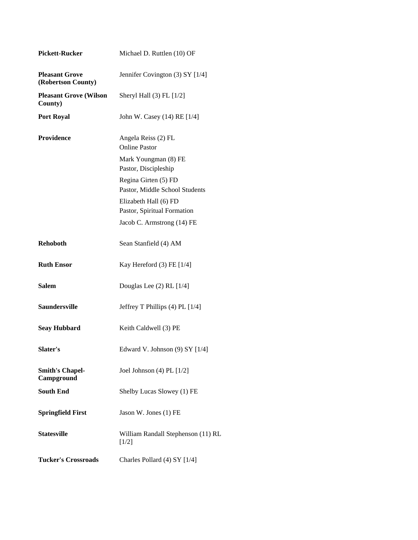| <b>Pickett-Rucker</b>                       | Michael D. Ruttlen (10) OF                             |
|---------------------------------------------|--------------------------------------------------------|
| <b>Pleasant Grove</b><br>(Robertson County) | Jennifer Covington (3) SY [1/4]                        |
| <b>Pleasant Grove (Wilson</b><br>County)    | Sheryl Hall $(3)$ FL $[1/2]$                           |
| <b>Port Royal</b>                           | John W. Casey (14) RE [1/4]                            |
| <b>Providence</b>                           | Angela Reiss (2) FL<br><b>Online Pastor</b>            |
|                                             | Mark Youngman (8) FE<br>Pastor, Discipleship           |
|                                             | Regina Girten (5) FD<br>Pastor, Middle School Students |
|                                             | Elizabeth Hall (6) FD<br>Pastor, Spiritual Formation   |
|                                             | Jacob C. Armstrong (14) FE                             |
| <b>Rehoboth</b>                             | Sean Stanfield (4) AM                                  |
| <b>Ruth Ensor</b>                           | Kay Hereford $(3)$ FE $[1/4]$                          |
| <b>Salem</b>                                | Douglas Lee $(2)$ RL $[1/4]$                           |
| <b>Saundersville</b>                        | Jeffrey T Phillips $(4)$ PL $[1/4]$                    |
| <b>Seay Hubbard</b>                         | Keith Caldwell (3) PE                                  |
| Slater's                                    | Edward V. Johnson $(9)$ SY $[1/4]$                     |
| <b>Smith's Chapel-</b><br>Campground        | Joel Johnson $(4)$ PL $[1/2]$                          |
| <b>South End</b>                            | Shelby Lucas Slowey (1) FE                             |
| <b>Springfield First</b>                    | Jason W. Jones (1) FE                                  |
| <b>Statesville</b>                          | William Randall Stephenson (11) RL<br>$[1/2]$          |
| <b>Tucker's Crossroads</b>                  | Charles Pollard (4) SY [1/4]                           |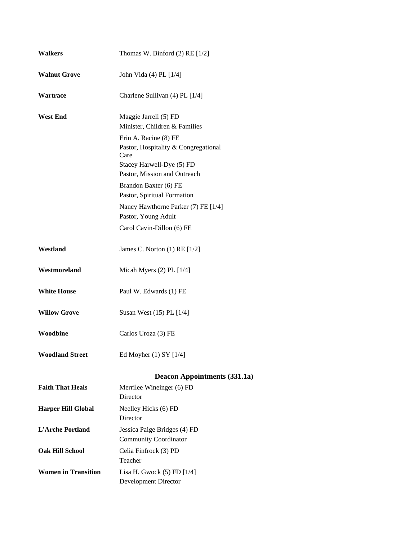| <b>Walkers</b>             | Thomas W. Binford $(2)$ RE $[1/2]$                                                                 |
|----------------------------|----------------------------------------------------------------------------------------------------|
| <b>Walnut Grove</b>        | John Vida (4) PL [1/4]                                                                             |
| Wartrace                   | Charlene Sullivan (4) PL [1/4]                                                                     |
| <b>West End</b>            | Maggie Jarrell (5) FD<br>Minister, Children & Families                                             |
|                            | Erin A. Racine (8) FE<br>Pastor, Hospitality & Congregational<br>Care<br>Stacey Harwell-Dye (5) FD |
|                            | Pastor, Mission and Outreach                                                                       |
|                            | Brandon Baxter (6) FE<br>Pastor, Spiritual Formation                                               |
|                            | Nancy Hawthorne Parker (7) FE [1/4]<br>Pastor, Young Adult                                         |
|                            | Carol Cavin-Dillon (6) FE                                                                          |
| Westland                   | James C. Norton (1) RE [1/2]                                                                       |
| Westmoreland               | Micah Myers $(2)$ PL $[1/4]$                                                                       |
| <b>White House</b>         | Paul W. Edwards (1) FE                                                                             |
| <b>Willow Grove</b>        | Susan West (15) PL [1/4]                                                                           |
| Woodbine                   | Carlos Uroza (3) FE                                                                                |
| <b>Woodland Street</b>     | Ed Moyher $(1)$ SY $[1/4]$                                                                         |
|                            | <b>Deacon Appointments (331.1a)</b>                                                                |
| <b>Faith That Heals</b>    | Merrilee Wineinger (6) FD<br>Director                                                              |
| <b>Harper Hill Global</b>  | Neelley Hicks (6) FD<br>Director                                                                   |
| <b>L'Arche Portland</b>    | Jessica Paige Bridges (4) FD<br><b>Community Coordinator</b>                                       |
| <b>Oak Hill School</b>     | Celia Finfrock (3) PD<br>Teacher                                                                   |
| <b>Women in Transition</b> | Lisa H. Gwock $(5)$ FD $[1/4]$<br><b>Development Director</b>                                      |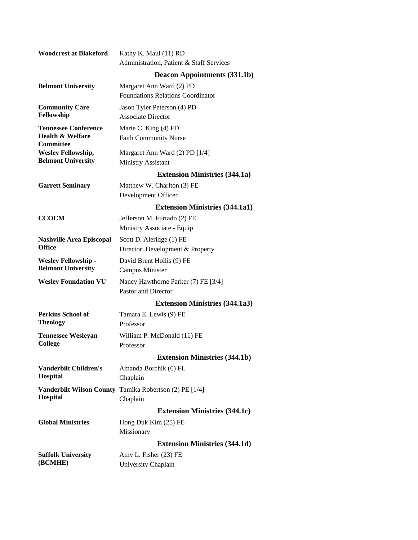| <b>Woodcrest at Blakeford</b>                    | Kathy K. Maul (11) RD                                  |
|--------------------------------------------------|--------------------------------------------------------|
|                                                  | Administration, Patient & Staff Services               |
|                                                  | <b>Deacon Appointments (331.1b)</b>                    |
| <b>Belmont University</b>                        | Margaret Ann Ward (2) PD                               |
|                                                  | <b>Foundations Relations Coordinator</b>               |
| <b>Community Care</b>                            | Jason Tyler Peterson (4) PD                            |
| Fellowship                                       | Associate Director                                     |
| <b>Tennessee Conference</b>                      | Marie C. King (4) FD                                   |
| <b>Health &amp; Welfare</b><br><b>Committee</b>  | <b>Faith Community Nurse</b>                           |
| <b>Wesley Fellowship,</b>                        | Margaret Ann Ward (2) PD [1/4]                         |
| <b>Belmont University</b>                        | <b>Ministry Assistant</b>                              |
|                                                  | <b>Extension Ministries (344.1a)</b>                   |
| <b>Garrett Seminary</b>                          | Matthew W. Charlton (3) FE                             |
|                                                  | Development Officer                                    |
|                                                  | <b>Extension Ministries (344.1a1)</b>                  |
| <b>CCOCM</b>                                     | Jefferson M. Furtado (2) FE                            |
|                                                  | Ministry Associate - Equip                             |
| <b>Nashville Area Episcopal</b><br><b>Office</b> | Scott D. Aleridge (1) FE                               |
|                                                  | Director, Development & Property                       |
| <b>Wesley Fellowship -</b>                       | David Brent Hollis (9) FE                              |
| <b>Belmont University</b>                        | <b>Campus Minister</b>                                 |
| <b>Wesley Foundation VU</b>                      | Nancy Hawthorne Parker (7) FE [3/4]                    |
|                                                  | Pastor and Director                                    |
|                                                  | <b>Extension Ministries (344.1a3)</b>                  |
| <b>Perkins School of</b>                         | Tamara E. Lewis (9) FE                                 |
| <b>Theology</b>                                  | Professor                                              |
| <b>Tennessee Wesleyan</b>                        | William P. McDonald (11) FE                            |
| College                                          | Professor                                              |
|                                                  | <b>Extension Ministries (344.1b)</b>                   |
| <b>Vanderbilt Children's</b>                     | Amanda Borchik (6) FL                                  |
| Hospital                                         | Chaplain                                               |
| <b>Hospital</b>                                  | Vanderbilt Wilson County Tamika Robertson (2) PE [1/4] |
|                                                  | Chaplain                                               |
|                                                  | <b>Extension Ministries (344.1c)</b>                   |
| <b>Global Ministries</b>                         | Hong Duk Kim (25) FE                                   |
|                                                  | Missionary                                             |
|                                                  | <b>Extension Ministries (344.1d)</b>                   |
| <b>Suffolk University</b><br>(BCMHE)             | Amy L. Fisher (23) FE                                  |
|                                                  | University Chaplain                                    |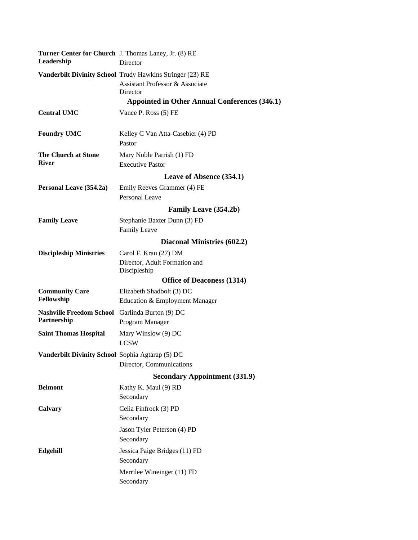| <b>Turner Center for Church J. Thomas Laney, Jr. (8) RE</b><br>Leadership | Director                                                  |
|---------------------------------------------------------------------------|-----------------------------------------------------------|
|                                                                           | Vanderbilt Divinity School Trudy Hawkins Stringer (23) RE |
|                                                                           | <b>Assistant Professor &amp; Associate</b><br>Director    |
|                                                                           | <b>Appointed in Other Annual Conferences (346.1)</b>      |
| <b>Central UMC</b>                                                        | Vance P. Ross (5) FE                                      |
| <b>Foundry UMC</b>                                                        | Kelley C Van Atta-Casebier (4) PD<br>Pastor               |
| The Church at Stone                                                       | Mary Noble Parrish (1) FD                                 |
| <b>River</b>                                                              | <b>Executive Pastor</b>                                   |
|                                                                           | Leave of Absence (354.1)                                  |
| Personal Leave (354.2a)                                                   | Emily Reeves Grammer (4) FE<br><b>Personal Leave</b>      |
|                                                                           | <b>Family Leave (354.2b)</b>                              |
| <b>Family Leave</b>                                                       | Stephanie Baxter Dunn (3) FD                              |
|                                                                           | <b>Family Leave</b>                                       |
|                                                                           | Diaconal Ministries (602.2)                               |
| <b>Discipleship Ministries</b>                                            | Carol F. Krau (27) DM                                     |
|                                                                           | Director, Adult Formation and                             |
|                                                                           | Discipleship<br><b>Office of Deaconess (1314)</b>         |
| <b>Community Care</b>                                                     | Elizabeth Shadbolt (3) DC                                 |
| Fellowship                                                                | Education & Employment Manager                            |
| Nashville Freedom School Garlinda Burton (9) DC                           |                                                           |
| Partnership                                                               | Program Manager                                           |
| <b>Saint Thomas Hospital</b>                                              | Mary Winslow (9) DC                                       |
|                                                                           | <b>LCSW</b>                                               |
| Vanderbilt Divinity School Sophia Agtarap (5) DC                          |                                                           |
|                                                                           | Director, Communications                                  |
|                                                                           | <b>Secondary Appointment (331.9)</b>                      |
| <b>Belmont</b>                                                            | Kathy K. Maul (9) RD<br>Secondary                         |
| Calvary                                                                   | Celia Finfrock (3) PD                                     |
|                                                                           | Secondary                                                 |
|                                                                           | Jason Tyler Peterson (4) PD                               |
|                                                                           | Secondary                                                 |
| Edgehill                                                                  | Jessica Paige Bridges (11) FD<br>Secondary                |
|                                                                           | Merrilee Wineinger (11) FD<br>Secondary                   |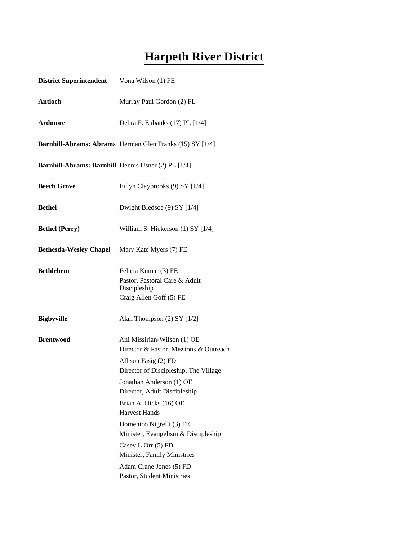# **Harpeth River District**

| <b>District Superintendent</b> Vona Wilson (1) FE          |                                                                                                                                        |
|------------------------------------------------------------|----------------------------------------------------------------------------------------------------------------------------------------|
| Antioch                                                    | Murray Paul Gordon (2) FL                                                                                                              |
| <b>Ardmore</b>                                             | Debra F. Eubanks (17) PL [1/4]                                                                                                         |
|                                                            | Barnhill-Abrams: Abrams Herman Glen Franks (15) SY [1/4]                                                                               |
| <b>Barnhill-Abrams: Barnhill</b> Dennis Usner (2) PL [1/4] |                                                                                                                                        |
| <b>Beech Grove</b>                                         | Eulyn Claybrooks (9) SY [1/4]                                                                                                          |
| Bethel                                                     | Dwight Bledsoe (9) SY [1/4]                                                                                                            |
| <b>Bethel (Perry)</b>                                      | William S. Hickerson (1) SY [1/4]                                                                                                      |
| Bethesda-Wesley Chapel Mary Kate Myers (7) FE              |                                                                                                                                        |
| Bethlehem                                                  | Felicia Kumar (3) FE<br>Pastor, Pastoral Care & Adult<br>Discipleship<br>Craig Allen Goff (5) FE                                       |
| <b>Bigbyville</b>                                          | Alan Thompson (2) SY [1/2]                                                                                                             |
| <b>Brentwood</b>                                           | Ani Missirian-Wilson (1) OE<br>Director & Pastor, Missions & Outreach<br>Allison Fasig (2) FD<br>Director of Discipleship, The Village |
|                                                            | Jonathan Anderson (1) OE<br>Director, Adult Discipleship                                                                               |
|                                                            | Brian A. Hicks (16) OE<br><b>Harvest Hands</b>                                                                                         |
|                                                            | Domenico Nigrelli (3) FE<br>Minister, Evangelism & Discipleship                                                                        |
|                                                            | Casey L Orr (5) FD<br>Minister, Family Ministries                                                                                      |
|                                                            | Adam Crane Jones (5) FD<br>Pastor, Student Ministries                                                                                  |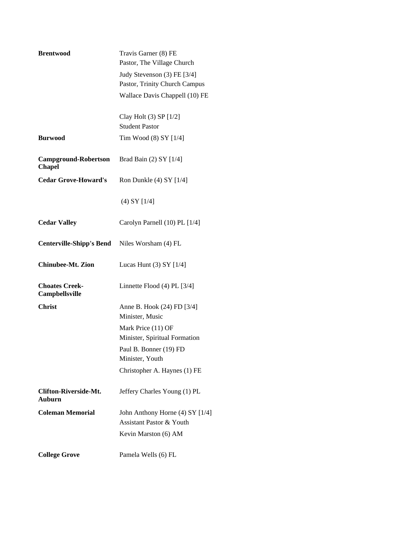| <b>Brentwood</b>                             | Travis Garner (8) FE<br>Pastor, The Village Church                     |
|----------------------------------------------|------------------------------------------------------------------------|
|                                              | Judy Stevenson (3) FE [3/4]<br>Pastor, Trinity Church Campus           |
|                                              | Wallace Davis Chappell (10) FE                                         |
|                                              | Clay Holt $(3)$ SP $[1/2]$                                             |
|                                              | <b>Student Pastor</b>                                                  |
| <b>Burwood</b>                               | Tim Wood $(8)$ SY $[1/4]$                                              |
| <b>Campground-Robertson</b><br><b>Chapel</b> | Brad Bain (2) SY [1/4]                                                 |
| <b>Cedar Grove-Howard's</b>                  | Ron Dunkle $(4)$ SY $[1/4]$                                            |
|                                              | (4) SY [1/4]                                                           |
| <b>Cedar Valley</b>                          | Carolyn Parnell (10) PL [1/4]                                          |
| <b>Centerville-Shipp's Bend</b>              | Niles Worsham (4) FL                                                   |
| <b>Chinubee-Mt. Zion</b>                     | Lucas Hunt $(3)$ SY $[1/4]$                                            |
| <b>Choates Creek-</b><br>Campbellsville      | Linnette Flood $(4)$ PL $[3/4]$                                        |
| <b>Christ</b>                                | Anne B. Hook (24) FD [3/4]<br>Minister, Music                          |
|                                              | Mark Price (11) OF<br>Minister, Spiritual Formation                    |
|                                              | Paul B. Bonner (19) FD<br>Minister, Youth                              |
|                                              | Christopher A. Haynes (1) FE                                           |
| <b>Clifton-Riverside-Mt.</b><br>Auburn       | Jeffery Charles Young (1) PL                                           |
| <b>Coleman Memorial</b>                      | John Anthony Horne (4) SY [1/4]<br><b>Assistant Pastor &amp; Youth</b> |
|                                              | Kevin Marston (6) AM                                                   |
| <b>College Grove</b>                         | Pamela Wells (6) FL                                                    |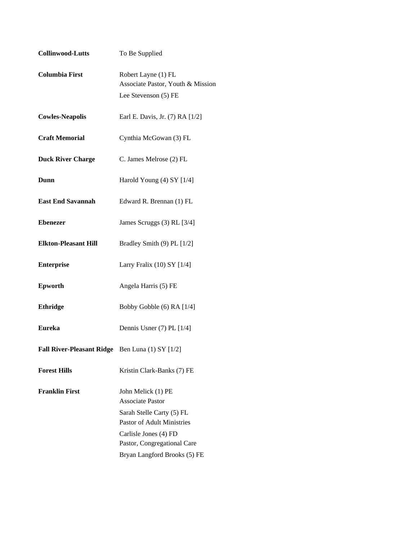| <b>Collinwood-Lutts</b>                         | To Be Supplied                                                                   |
|-------------------------------------------------|----------------------------------------------------------------------------------|
| <b>Columbia First</b>                           | Robert Layne (1) FL<br>Associate Pastor, Youth & Mission<br>Lee Stevenson (5) FE |
| <b>Cowles-Neapolis</b>                          | Earl E. Davis, Jr. (7) RA [1/2]                                                  |
| <b>Craft Memorial</b>                           | Cynthia McGowan (3) FL                                                           |
| <b>Duck River Charge</b>                        | C. James Melrose (2) FL                                                          |
| Dunn                                            | Harold Young (4) SY [1/4]                                                        |
| <b>East End Savannah</b>                        | Edward R. Brennan (1) FL                                                         |
| <b>Ebenezer</b>                                 | James Scruggs (3) RL [3/4]                                                       |
| <b>Elkton-Pleasant Hill</b>                     | Bradley Smith (9) PL [1/2]                                                       |
| <b>Enterprise</b>                               | Larry Fralix $(10)$ SY $[1/4]$                                                   |
| <b>Epworth</b>                                  | Angela Harris (5) FE                                                             |
| <b>Ethridge</b>                                 | Bobby Gobble (6) RA [1/4]                                                        |
| <b>Eureka</b>                                   | Dennis Usner (7) PL [1/4]                                                        |
| Fall River-Pleasant Ridge Ben Luna (1) SY [1/2] |                                                                                  |
| <b>Forest Hills</b>                             | Kristin Clark-Banks (7) FE                                                       |
| <b>Franklin First</b>                           | John Melick (1) PE<br><b>Associate Pastor</b>                                    |
|                                                 | Sarah Stelle Carty (5) FL<br>Pastor of Adult Ministries                          |
|                                                 | Carlisle Jones (4) FD                                                            |
|                                                 | Pastor, Congregational Care                                                      |
|                                                 | Bryan Langford Brooks (5) FE                                                     |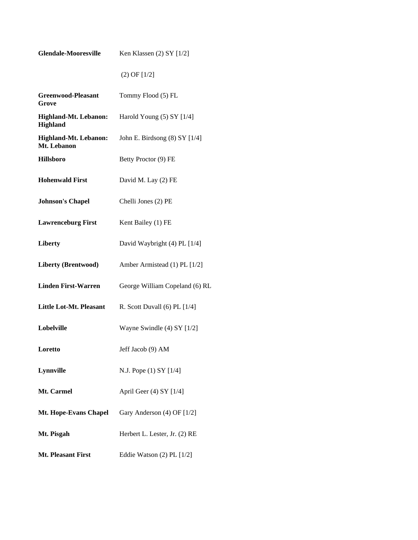| <b>Glendale-Mooresville</b>                     | Ken Klassen $(2)$ SY $[1/2]$      |
|-------------------------------------------------|-----------------------------------|
|                                                 | $(2)$ OF $[1/2]$                  |
| <b>Greenwood-Pleasant</b><br>Grove              | Tommy Flood (5) FL                |
| <b>Highland-Mt. Lebanon:</b><br><b>Highland</b> | Harold Young $(5)$ SY $[1/4]$     |
| <b>Highland-Mt. Lebanon:</b><br>Mt. Lebanon     | John E. Birdsong $(8)$ SY $[1/4]$ |
| <b>Hillsboro</b>                                | Betty Proctor (9) FE              |
| <b>Hohenwald First</b>                          | David M. Lay (2) FE               |
| <b>Johnson's Chapel</b>                         | Chelli Jones (2) PE               |
| <b>Lawrenceburg First</b>                       | Kent Bailey (1) FE                |
| Liberty                                         | David Waybright (4) PL [1/4]      |
| <b>Liberty (Brentwood)</b>                      | Amber Armistead (1) PL [1/2]      |
| <b>Linden First-Warren</b>                      | George William Copeland (6) RL    |
| <b>Little Lot-Mt. Pleasant</b>                  | R. Scott Duvall $(6)$ PL $[1/4]$  |
| Lobelville                                      | Wayne Swindle $(4)$ SY $[1/2]$    |
| Loretto                                         | Jeff Jacob (9) AM                 |
| Lynnville                                       | N.J. Pope (1) SY [1/4]            |
| Mt. Carmel                                      | April Geer (4) SY $[1/4]$         |
| Mt. Hope-Evans Chapel                           | Gary Anderson (4) OF [1/2]        |
| Mt. Pisgah                                      | Herbert L. Lester, Jr. (2) RE     |
| <b>Mt. Pleasant First</b>                       | Eddie Watson $(2)$ PL $[1/2]$     |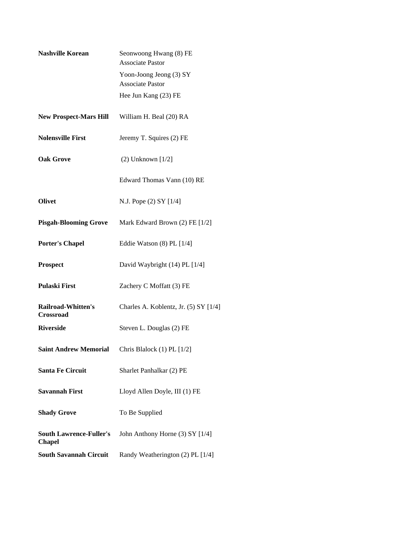| <b>Nashville Korean</b>                         | Seonwoong Hwang (8) FE<br><b>Associate Pastor</b>  |
|-------------------------------------------------|----------------------------------------------------|
|                                                 | Yoon-Joong Jeong (3) SY<br><b>Associate Pastor</b> |
|                                                 | Hee Jun Kang (23) FE                               |
| <b>New Prospect-Mars Hill</b>                   | William H. Beal (20) RA                            |
| <b>Nolensville First</b>                        | Jeremy T. Squires (2) FE                           |
| <b>Oak Grove</b>                                | $(2)$ Unknown $[1/2]$                              |
|                                                 | Edward Thomas Vann (10) RE                         |
| <b>Olivet</b>                                   | N.J. Pope (2) SY [1/4]                             |
| <b>Pisgah-Blooming Grove</b>                    | Mark Edward Brown (2) FE [1/2]                     |
| <b>Porter's Chapel</b>                          | Eddie Watson (8) PL [1/4]                          |
| <b>Prospect</b>                                 | David Waybright (14) PL [1/4]                      |
| <b>Pulaski First</b>                            | Zachery C Moffatt (3) FE                           |
| <b>Railroad-Whitten's</b><br><b>Crossroad</b>   | Charles A. Koblentz, Jr. (5) SY [1/4]              |
| <b>Riverside</b>                                | Steven L. Douglas (2) FE                           |
| <b>Saint Andrew Memorial</b>                    | Chris Blalock $(1)$ PL $[1/2]$                     |
| <b>Santa Fe Circuit</b>                         | Sharlet Panhalkar (2) PE                           |
| <b>Savannah First</b>                           | Lloyd Allen Doyle, III (1) FE                      |
| <b>Shady Grove</b>                              | To Be Supplied                                     |
| <b>South Lawrence-Fuller's</b><br><b>Chapel</b> | John Anthony Horne (3) SY [1/4]                    |
| <b>South Savannah Circuit</b>                   | Randy Weatherington (2) PL [1/4]                   |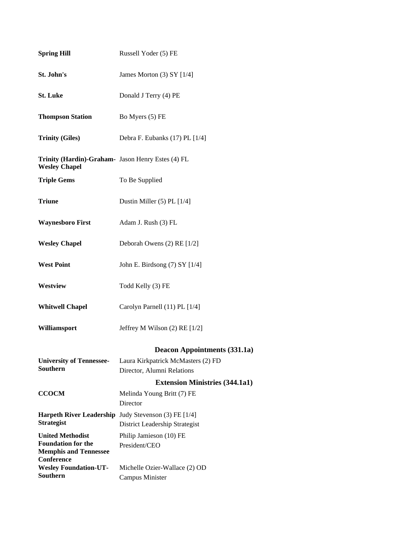| <b>Spring Hill</b>                                                                                        | Russell Yoder (5) FE                                    |
|-----------------------------------------------------------------------------------------------------------|---------------------------------------------------------|
| St. John's                                                                                                | James Morton $(3)$ SY $[1/4]$                           |
| <b>St. Luke</b>                                                                                           | Donald J Terry (4) PE                                   |
| <b>Thompson Station</b>                                                                                   | Bo Myers (5) FE                                         |
| <b>Trinity (Giles)</b>                                                                                    | Debra F. Eubanks (17) PL [1/4]                          |
| Trinity (Hardin)-Graham- Jason Henry Estes (4) FL<br><b>Wesley Chapel</b>                                 |                                                         |
| <b>Triple Gems</b>                                                                                        | To Be Supplied                                          |
| <b>Triune</b>                                                                                             | Dustin Miller (5) PL [1/4]                              |
| <b>Waynesboro First</b>                                                                                   | Adam J. Rush (3) FL                                     |
| <b>Wesley Chapel</b>                                                                                      | Deborah Owens (2) RE [1/2]                              |
| <b>West Point</b>                                                                                         | John E. Birdsong (7) SY [1/4]                           |
| <b>Westview</b>                                                                                           | Todd Kelly (3) FE                                       |
| <b>Whitwell Chapel</b>                                                                                    | Carolyn Parnell (11) PL [1/4]                           |
| Williamsport                                                                                              | Jeffrey M Wilson $(2)$ RE $[1/2]$                       |
|                                                                                                           | <b>Deacon Appointments (331.1a)</b>                     |
| <b>University of Tennessee-</b>                                                                           | Laura Kirkpatrick McMasters (2) FD                      |
| Southern                                                                                                  | Director, Alumni Relations                              |
|                                                                                                           | <b>Extension Ministries (344.1a1)</b>                   |
| <b>CCOCM</b>                                                                                              | Melinda Young Britt (7) FE<br>Director                  |
| Harpeth River Leadership Judy Stevenson (3) FE [1/4]<br><b>Strategist</b>                                 | District Leadership Strategist                          |
| <b>United Methodist</b><br><b>Foundation for the</b><br><b>Memphis and Tennessee</b><br><b>Conference</b> | Philip Jamieson (10) FE<br>President/CEO                |
| <b>Wesley Foundation-UT-</b><br>Southern                                                                  | Michelle Ozier-Wallace (2) OD<br><b>Campus Minister</b> |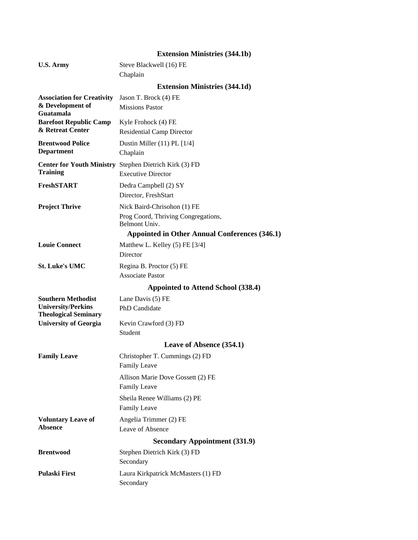#### **Extension Ministries (344.1b)**

| <b>U.S. Army</b>                                                                      | Steve Blackwell (16) FE                                                             |
|---------------------------------------------------------------------------------------|-------------------------------------------------------------------------------------|
|                                                                                       | Chaplain                                                                            |
|                                                                                       | <b>Extension Ministries (344.1d)</b>                                                |
| <b>Association for Creativity</b><br>& Development of<br>Guatamala                    | Jason T. Brock (4) FE<br><b>Missions Pastor</b>                                     |
| <b>Barefoot Republic Camp</b><br>& Retreat Center                                     | Kyle Frohock (4) FE<br><b>Residential Camp Director</b>                             |
| <b>Brentwood Police</b><br><b>Department</b>                                          | Dustin Miller (11) PL [1/4]<br>Chaplain                                             |
| <b>Training</b>                                                                       | Center for Youth Ministry Stephen Dietrich Kirk (3) FD<br><b>Executive Director</b> |
| <b>FreshSTART</b>                                                                     | Dedra Campbell (2) SY<br>Director, FreshStart                                       |
| <b>Project Thrive</b>                                                                 | Nick Baird-Chrisohon (1) FE<br>Prog Coord, Thriving Congregations,<br>Belmont Univ. |
|                                                                                       | Appointed in Other Annual Conferences (346.1)                                       |
| <b>Louie Connect</b>                                                                  | Matthew L. Kelley (5) FE [3/4]<br>Director                                          |
| <b>St. Luke's UMC</b>                                                                 | Regina B. Proctor (5) FE                                                            |
|                                                                                       | <b>Associate Pastor</b>                                                             |
|                                                                                       | Appointed to Attend School (338.4)                                                  |
| <b>Southern Methodist</b><br><b>University/Perkins</b><br><b>Theological Seminary</b> | Lane Davis (5) FE<br>PhD Candidate                                                  |
| <b>University of Georgia</b>                                                          | Kevin Crawford (3) FD<br>Student                                                    |
|                                                                                       | Leave of Absence (354.1)                                                            |
| <b>Family Leave</b>                                                                   | Christopher T. Cummings (2) FD<br>Family Leave                                      |
|                                                                                       | Allison Marie Dove Gossett (2) FE<br>Family Leave                                   |
|                                                                                       | Sheila Renee Williams (2) PE<br>Family Leave                                        |
| <b>Voluntary Leave of</b><br><b>Absence</b>                                           | Angelia Trimmer (2) FE<br>Leave of Absence                                          |
|                                                                                       | <b>Secondary Appointment (331.9)</b>                                                |
| <b>Brentwood</b>                                                                      | Stephen Dietrich Kirk (3) FD<br>Secondary                                           |
| <b>Pulaski First</b>                                                                  | Laura Kirkpatrick McMasters (1) FD<br>Secondary                                     |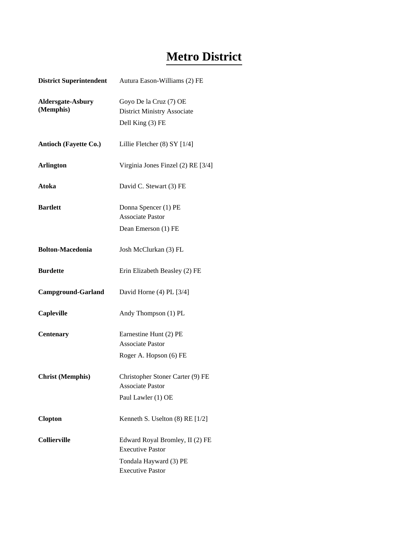#### **Metro District**

| <b>District Superintendent</b>        | Autura Eason-Williams (2) FE                                                                                    |
|---------------------------------------|-----------------------------------------------------------------------------------------------------------------|
| <b>Aldersgate-Asbury</b><br>(Memphis) | Goyo De la Cruz (7) OE<br><b>District Ministry Associate</b><br>Dell King (3) FE                                |
| <b>Antioch (Fayette Co.)</b>          | Lillie Fletcher (8) SY [1/4]                                                                                    |
| <b>Arlington</b>                      | Virginia Jones Finzel (2) RE [3/4]                                                                              |
| Atoka                                 | David C. Stewart (3) FE                                                                                         |
| <b>Bartlett</b>                       | Donna Spencer (1) PE<br><b>Associate Pastor</b><br>Dean Emerson (1) FE                                          |
| <b>Bolton-Macedonia</b>               | Josh McClurkan (3) FL                                                                                           |
| <b>Burdette</b>                       | Erin Elizabeth Beasley (2) FE                                                                                   |
| <b>Campground-Garland</b>             | David Horne (4) PL [3/4]                                                                                        |
| Capleville                            | Andy Thompson (1) PL                                                                                            |
| <b>Centenary</b>                      | Earnestine Hunt (2) PE<br><b>Associate Pastor</b><br>Roger A. Hopson (6) FE                                     |
| <b>Christ (Memphis)</b>               | Christopher Stoner Carter (9) FE<br><b>Associate Pastor</b><br>Paul Lawler (1) OE                               |
| <b>Clopton</b>                        | Kenneth S. Uselton $(8)$ RE $[1/2]$                                                                             |
| <b>Collierville</b>                   | Edward Royal Bromley, II (2) FE<br><b>Executive Pastor</b><br>Tondala Hayward (3) PE<br><b>Executive Pastor</b> |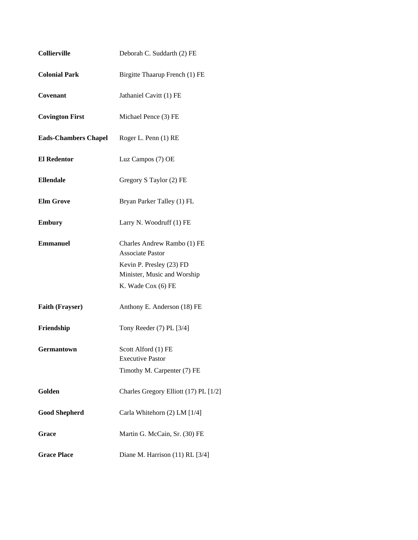| <b>Collierville</b>         | Deborah C. Suddarth (2) FE                             |
|-----------------------------|--------------------------------------------------------|
| <b>Colonial Park</b>        | Birgitte Thaarup French (1) FE                         |
| Covenant                    | Jathaniel Cavitt (1) FE                                |
| <b>Covington First</b>      | Michael Pence (3) FE                                   |
| <b>Eads-Chambers Chapel</b> | Roger L. Penn (1) RE                                   |
| <b>El Redentor</b>          | Luz Campos (7) OE                                      |
| <b>Ellendale</b>            | Gregory S Taylor (2) FE                                |
| <b>Elm Grove</b>            | Bryan Parker Talley (1) FL                             |
| <b>Embury</b>               | Larry N. Woodruff (1) FE                               |
| <b>Emmanuel</b>             | Charles Andrew Rambo (1) FE<br><b>Associate Pastor</b> |
|                             | Kevin P. Presley (23) FD                               |
|                             | Minister, Music and Worship                            |
|                             | K. Wade Cox (6) FE                                     |
| <b>Faith (Frayser)</b>      | Anthony E. Anderson (18) FE                            |
| Friendship                  | Tony Reeder $(7)$ PL $[3/4]$                           |
| <b>Germantown</b>           | Scott Alford (1) FE                                    |
|                             | <b>Executive Pastor</b>                                |
|                             | Timothy M. Carpenter (7) FE                            |
| Golden                      | Charles Gregory Elliott (17) PL [1/2]                  |
| <b>Good Shepherd</b>        | Carla Whitehorn (2) LM [1/4]                           |
| Grace                       | Martin G. McCain, Sr. (30) FE                          |
| <b>Grace Place</b>          | Diane M. Harrison (11) RL [3/4]                        |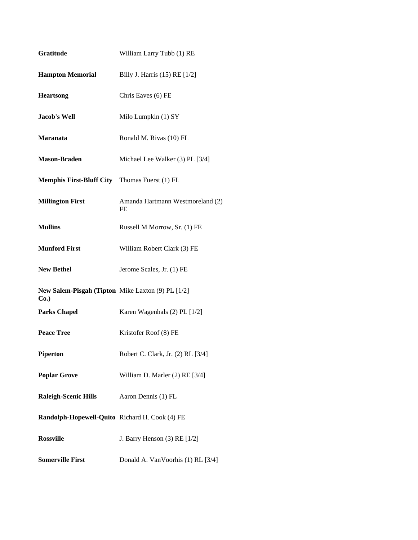| Gratitude                                                | William Larry Tubb (1) RE              |
|----------------------------------------------------------|----------------------------------------|
| <b>Hampton Memorial</b>                                  | Billy J. Harris (15) RE [1/2]          |
| <b>Heartsong</b>                                         | Chris Eaves (6) FE                     |
| <b>Jacob's Well</b>                                      | Milo Lumpkin (1) SY                    |
| <b>Maranata</b>                                          | Ronald M. Rivas (10) FL                |
| <b>Mason-Braden</b>                                      | Michael Lee Walker (3) PL [3/4]        |
| <b>Memphis First-Bluff City</b> Thomas Fuerst (1) FL     |                                        |
| <b>Millington First</b>                                  | Amanda Hartmann Westmoreland (2)<br>FE |
| <b>Mullins</b>                                           | Russell M Morrow, Sr. (1) FE           |
| <b>Munford First</b>                                     | William Robert Clark (3) FE            |
| <b>New Bethel</b>                                        | Jerome Scales, Jr. (1) FE              |
| New Salem-Pisgah (Tipton Mike Laxton (9) PL [1/2]<br>Co. |                                        |
| <b>Parks Chapel</b>                                      | Karen Wagenhals (2) PL [1/2]           |
| <b>Peace Tree</b>                                        | Kristofer Roof (8) FE                  |
| <b>Piperton</b>                                          | Robert C. Clark, Jr. (2) RL [3/4]      |
| <b>Poplar Grove</b>                                      | William D. Marler (2) RE [3/4]         |
| <b>Raleigh-Scenic Hills</b>                              | Aaron Dennis (1) FL                    |
| Randolph-Hopewell-Quito Richard H. Cook (4) FE           |                                        |
| <b>Rossville</b>                                         | J. Barry Henson $(3)$ RE $[1/2]$       |
| <b>Somerville First</b>                                  | Donald A. Van Voorhis (1) RL [3/4]     |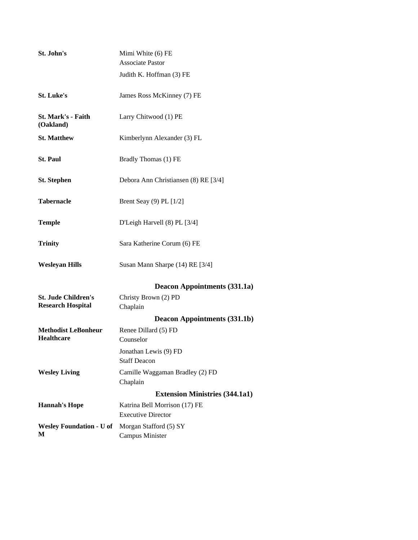| St. John's                           | Mimi White (6) FE                            |
|--------------------------------------|----------------------------------------------|
|                                      | <b>Associate Pastor</b>                      |
|                                      | Judith K. Hoffman (3) FE                     |
| <b>St. Luke's</b>                    | James Ross McKinney (7) FE                   |
| St. Mark's - Faith<br>(Oakland)      | Larry Chitwood (1) PE                        |
| <b>St. Matthew</b>                   | Kimberlynn Alexander (3) FL                  |
| <b>St. Paul</b>                      | Bradly Thomas (1) FE                         |
| <b>St. Stephen</b>                   | Debora Ann Christiansen (8) RE [3/4]         |
| <b>Tabernacle</b>                    | Brent Seay $(9)$ PL $[1/2]$                  |
| <b>Temple</b>                        | D'Leigh Harvell (8) PL [3/4]                 |
| <b>Trinity</b>                       | Sara Katherine Corum (6) FE                  |
| <b>Wesleyan Hills</b>                | Susan Mann Sharpe (14) RE [3/4]              |
|                                      | <b>Deacon Appointments (331.1a)</b>          |
| <b>St. Jude Children's</b>           | Christy Brown (2) PD                         |
| <b>Research Hospital</b>             | Chaplain                                     |
|                                      | <b>Deacon Appointments (331.1b)</b>          |
| <b>Methodist LeBonheur</b>           | Renee Dillard (5) FD                         |
| <b>Healthcare</b>                    | Counselor                                    |
|                                      | Jonathan Lewis (9) FD<br><b>Staff Deacon</b> |
| <b>Wesley Living</b>                 | Camille Waggaman Bradley (2) FD<br>Chaplain  |
|                                      | <b>Extension Ministries (344.1a1)</b>        |
| <b>Hannah's Hope</b>                 | Katrina Bell Morrison (17) FE                |
|                                      | <b>Executive Director</b>                    |
| <b>Wesley Foundation - U of</b><br>М | Morgan Stafford (5) SY<br>Campus Minister    |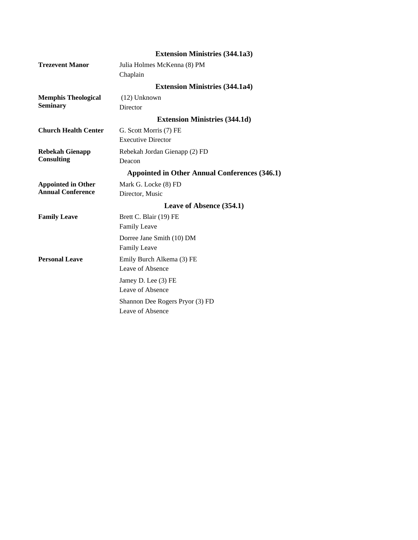|                             | <b>Extension Ministries (344.1a3)</b>                |
|-----------------------------|------------------------------------------------------|
| <b>Trezevent Manor</b>      | Julia Holmes McKenna (8) PM                          |
|                             | Chaplain                                             |
|                             | <b>Extension Ministries (344.1a4)</b>                |
| <b>Memphis Theological</b>  | $(12)$ Unknown                                       |
| <b>Seminary</b>             | Director                                             |
|                             | <b>Extension Ministries (344.1d)</b>                 |
| <b>Church Health Center</b> | G. Scott Morris (7) FE                               |
|                             | <b>Executive Director</b>                            |
| <b>Rebekah Gienapp</b>      | Rebekah Jordan Gienapp (2) FD                        |
| <b>Consulting</b>           | Deacon                                               |
|                             | <b>Appointed in Other Annual Conferences (346.1)</b> |
| <b>Appointed in Other</b>   | Mark G. Locke (8) FD                                 |
| <b>Annual Conference</b>    | Director, Music                                      |
|                             | Leave of Absence (354.1)                             |
| <b>Family Leave</b>         | Brett C. Blair (19) FE                               |
|                             | Family Leave                                         |
|                             | Dorree Jane Smith (10) DM                            |
|                             | Family Leave                                         |
| <b>Personal Leave</b>       | Emily Burch Alkema (3) FE                            |
|                             | Leave of Absence                                     |
|                             | Jamey D. Lee (3) FE                                  |
|                             | Leave of Absence                                     |
|                             | Shannon Dee Rogers Pryor (3) FD                      |
|                             | Leave of Absence                                     |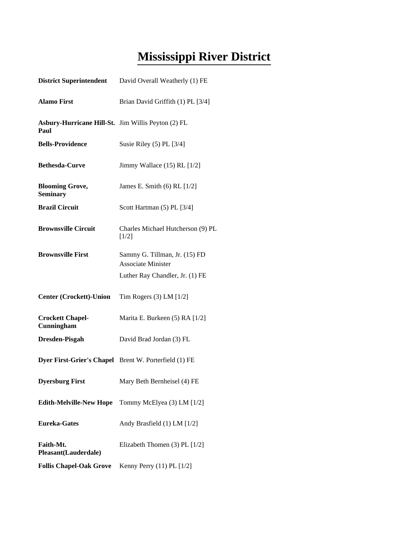# **Mississippi River District**

| <b>District Superintendent</b>                             | David Overall Weatherly (1) FE                             |
|------------------------------------------------------------|------------------------------------------------------------|
| <b>Alamo First</b>                                         | Brian David Griffith (1) PL [3/4]                          |
| Asbury-Hurricane Hill-St. Jim Willis Peyton (2) FL<br>Paul |                                                            |
| <b>Bells-Providence</b>                                    | Susie Riley $(5)$ PL $[3/4]$                               |
| <b>Bethesda-Curve</b>                                      | Jimmy Wallace $(15)$ RL $[1/2]$                            |
| <b>Blooming Grove,</b><br><b>Seminary</b>                  | James E. Smith $(6)$ RL $[1/2]$                            |
| <b>Brazil Circuit</b>                                      | Scott Hartman (5) PL [3/4]                                 |
| <b>Brownsville Circuit</b>                                 | Charles Michael Hutcherson (9) PL<br>$[1/2]$               |
| <b>Brownsville First</b>                                   | Sammy G. Tillman, Jr. (15) FD<br><b>Associate Minister</b> |
|                                                            | Luther Ray Chandler, Jr. (1) FE                            |
| <b>Center (Crockett)-Union</b>                             | Tim Rogers $(3)$ LM $[1/2]$                                |
| <b>Crockett Chapel-</b><br>Cunningham                      | Marita E. Burkeen (5) RA [1/2]                             |
| Dresden-Pisgah                                             | David Brad Jordan (3) FL                                   |
| Dyer First-Grier's Chapel Brent W. Porterfield (1) FE      |                                                            |
| <b>Dyersburg First</b>                                     | Mary Beth Bernheisel (4) FE                                |
| <b>Edith-Melville-New Hope</b>                             | Tommy McElyea (3) LM [1/2]                                 |
| <b>Eureka-Gates</b>                                        | Andy Brasfield (1) LM [1/2]                                |
| Faith-Mt.<br>Pleasant(Lauderdale)                          | Elizabeth Thomen (3) PL [1/2]                              |
| <b>Follis Chapel-Oak Grove</b>                             | Kenny Perry (11) PL [1/2]                                  |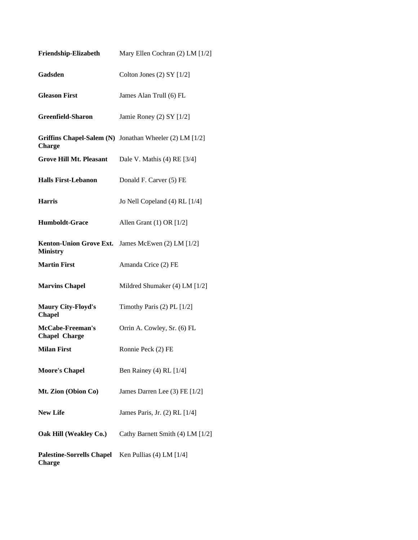| Friendship-Elizabeth                                                | Mary Ellen Cochran (2) LM [1/2]                             |
|---------------------------------------------------------------------|-------------------------------------------------------------|
| Gadsden                                                             | Colton Jones $(2)$ SY $[1/2]$                               |
| <b>Gleason First</b>                                                | James Alan Trull (6) FL                                     |
| <b>Greenfield-Sharon</b>                                            | Jamie Roney (2) SY $[1/2]$                                  |
| <b>Charge</b>                                                       | Griffins Chapel-Salem (N) Jonathan Wheeler $(2)$ LM $[1/2]$ |
| <b>Grove Hill Mt. Pleasant</b>                                      | Dale V. Mathis $(4)$ RE $[3/4]$                             |
| <b>Halls First-Lebanon</b>                                          | Donald F. Carver (5) FE                                     |
| <b>Harris</b>                                                       | Jo Nell Copeland (4) RL [1/4]                               |
| <b>Humboldt-Grace</b>                                               | Allen Grant $(1)$ OR $[1/2]$                                |
| <b>Kenton-Union Grove Ext.</b><br><b>Ministry</b>                   | James McEwen $(2)$ LM $[1/2]$                               |
| <b>Martin First</b>                                                 | Amanda Crice (2) FE                                         |
| <b>Marvins Chapel</b>                                               | Mildred Shumaker (4) LM [1/2]                               |
| <b>Maury City-Floyd's</b><br><b>Chapel</b>                          | Timothy Paris $(2)$ PL $[1/2]$                              |
| <b>McCabe-Freeman's</b><br><b>Chapel Charge</b>                     | Orrin A. Cowley, Sr. (6) FL                                 |
| <b>Milan First</b>                                                  | Ronnie Peck (2) FE                                          |
| <b>Moore's Chapel</b>                                               | Ben Rainey (4) RL $[1/4]$                                   |
| Mt. Zion (Obion Co)                                                 | James Darren Lee (3) FE [1/2]                               |
| <b>New Life</b>                                                     | James Paris, Jr. (2) RL [1/4]                               |
| Oak Hill (Weakley Co.)                                              | Cathy Barnett Smith (4) LM [1/2]                            |
| Palestine-Sorrells Chapel Ken Pullias (4) LM [1/4]<br><b>Charge</b> |                                                             |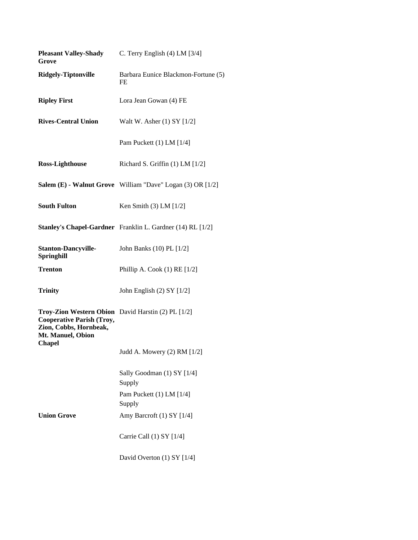| <b>Pleasant Valley-Shady</b><br>Grove                                                                                                                  | C. Terry English $(4)$ LM $[3/4]$                                 |
|--------------------------------------------------------------------------------------------------------------------------------------------------------|-------------------------------------------------------------------|
| <b>Ridgely-Tiptonville</b>                                                                                                                             | Barbara Eunice Blackmon-Fortune (5)<br>FE                         |
| <b>Ripley First</b>                                                                                                                                    | Lora Jean Gowan (4) FE                                            |
| <b>Rives-Central Union</b>                                                                                                                             | Walt W. Asher (1) SY [1/2]                                        |
|                                                                                                                                                        | Pam Puckett (1) LM [1/4]                                          |
| <b>Ross-Lighthouse</b>                                                                                                                                 | Richard S. Griffin (1) LM [1/2]                                   |
|                                                                                                                                                        | <b>Salem (E) - Walnut Grove</b> William "Dave" Logan (3) OR [1/2] |
| <b>South Fulton</b>                                                                                                                                    | Ken Smith $(3)$ LM $[1/2]$                                        |
|                                                                                                                                                        | Stanley's Chapel-Gardner Franklin L. Gardner (14) RL [1/2]        |
| <b>Stanton-Dancyville-</b><br>Springhill                                                                                                               | John Banks (10) PL [1/2]                                          |
| <b>Trenton</b>                                                                                                                                         | Phillip A. Cook $(1)$ RE $[1/2]$                                  |
| <b>Trinity</b>                                                                                                                                         | John English $(2)$ SY $[1/2]$                                     |
| Troy-Zion Western Obion David Harstin (2) PL [1/2]<br><b>Cooperative Parish (Troy,</b><br>Zion, Cobbs, Hornbeak,<br>Mt. Manuel, Obion<br><b>Chapel</b> |                                                                   |
|                                                                                                                                                        | Judd A. Mowery (2) RM [1/2]                                       |
|                                                                                                                                                        | Sally Goodman (1) SY [1/4]<br>Supply                              |
|                                                                                                                                                        | Pam Puckett (1) LM [1/4]<br>Supply                                |
| <b>Union Grove</b>                                                                                                                                     | Amy Barcroft (1) SY [1/4]                                         |
|                                                                                                                                                        | Carrie Call (1) SY [1/4]                                          |
|                                                                                                                                                        | David Overton (1) SY [1/4]                                        |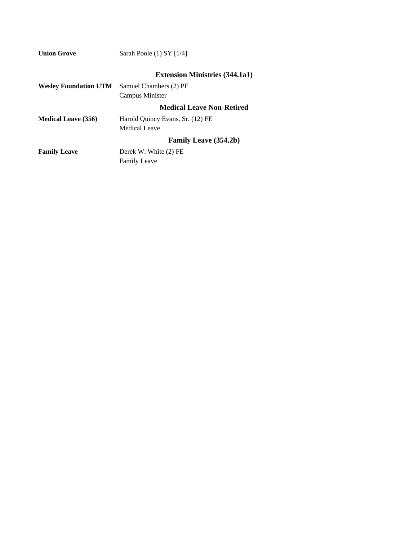| <b>Union Grove</b>           | Sarah Poole $(1)$ SY $[1/4]$          |
|------------------------------|---------------------------------------|
|                              | <b>Extension Ministries (344.1a1)</b> |
| <b>Wesley Foundation UTM</b> | Samuel Chambers (2) PE                |
|                              | Campus Minister                       |
|                              | <b>Medical Leave Non-Retired</b>      |
| <b>Medical Leave (356)</b>   | Harold Quincy Evans, Sr. (12) FE      |
|                              | Medical Leave                         |
|                              | <b>Family Leave (354.2b)</b>          |
| <b>Family Leave</b>          | Derek W. White (2) FE                 |
|                              | <b>Family Leave</b>                   |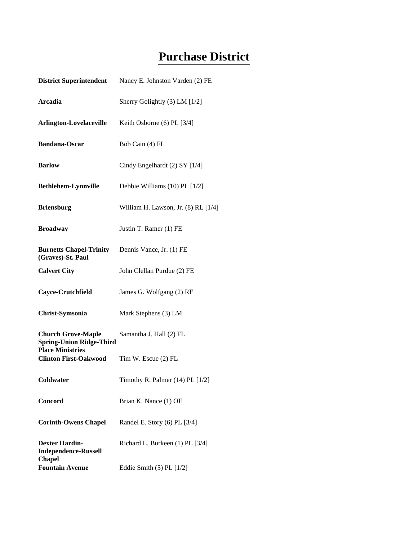### **Purchase District**

| <b>District Superintendent</b>                                        | Nancy E. Johnston Varden (2) FE         |
|-----------------------------------------------------------------------|-----------------------------------------|
| <b>Arcadia</b>                                                        | Sherry Golightly (3) LM [1/2]           |
| Arlington-Lovelaceville                                               | Keith Osborne (6) PL [3/4]              |
| <b>Bandana-Oscar</b>                                                  | Bob Cain (4) FL                         |
| <b>Barlow</b>                                                         | Cindy Engelhardt (2) SY [1/4]           |
| <b>Bethlehem-Lynnville</b>                                            | Debbie Williams (10) PL [1/2]           |
| <b>Briensburg</b>                                                     | William H. Lawson, Jr. $(8)$ RL $[1/4]$ |
| <b>Broadway</b>                                                       | Justin T. Ramer (1) FE                  |
| <b>Burnetts Chapel-Trinity</b><br>(Graves)-St. Paul                   | Dennis Vance, Jr. (1) FE                |
| <b>Calvert City</b>                                                   | John Clellan Purdue (2) FE              |
| Cayce-Crutchfield                                                     | James G. Wolfgang (2) RE                |
| Christ-Symsonia                                                       | Mark Stephens (3) LM                    |
| <b>Church Grove-Maple</b><br><b>Spring-Union Ridge-Third</b>          | Samantha J. Hall (2) FL                 |
| <b>Place Ministries</b><br><b>Clinton First-Oakwood</b>               | Tim W. Escue (2) FL                     |
| <b>Coldwater</b>                                                      | Timothy R. Palmer $(14)$ PL $[1/2]$     |
| <b>Concord</b>                                                        | Brian K. Nance (1) OF                   |
| <b>Corinth-Owens Chapel</b>                                           | Randel E. Story (6) PL [3/4]            |
| <b>Dexter Hardin-</b><br><b>Independence-Russell</b><br><b>Chapel</b> | Richard L. Burkeen (1) PL [3/4]         |
| <b>Fountain Avenue</b>                                                | Eddie Smith $(5)$ PL $[1/2]$            |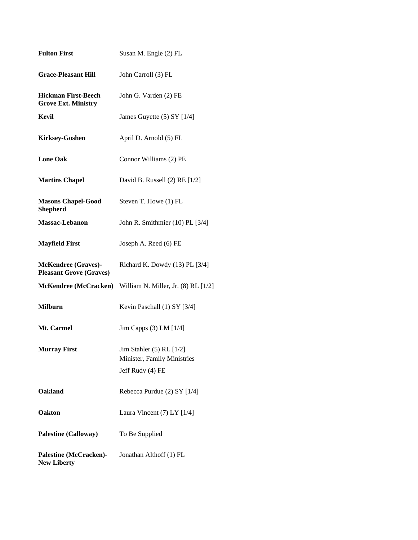| <b>Fulton First</b>                                          | Susan M. Engle (2) FL                                                           |
|--------------------------------------------------------------|---------------------------------------------------------------------------------|
| <b>Grace-Pleasant Hill</b>                                   | John Carroll (3) FL                                                             |
| <b>Hickman First-Beech</b><br><b>Grove Ext. Ministry</b>     | John G. Varden (2) FE                                                           |
| Kevil                                                        | James Guyette (5) SY [1/4]                                                      |
| <b>Kirksey-Goshen</b>                                        | April D. Arnold (5) FL                                                          |
| <b>Lone Oak</b>                                              | Connor Williams (2) PE                                                          |
| <b>Martins Chapel</b>                                        | David B. Russell $(2)$ RE $[1/2]$                                               |
| <b>Masons Chapel-Good</b><br><b>Shepherd</b>                 | Steven T. Howe (1) FL                                                           |
| <b>Massac-Lebanon</b>                                        | John R. Smithmier (10) PL [3/4]                                                 |
| <b>Mayfield First</b>                                        | Joseph A. Reed (6) FE                                                           |
| <b>McKendree</b> (Graves)-<br><b>Pleasant Grove (Graves)</b> | Richard K. Dowdy (13) PL [3/4]                                                  |
|                                                              | McKendree (McCracken) William N. Miller, Jr. (8) RL [1/2]                       |
| <b>Milburn</b>                                               | Kevin Paschall (1) SY [3/4]                                                     |
| Mt. Carmel                                                   | Jim Capps $(3)$ LM $[1/4]$                                                      |
| <b>Murray First</b>                                          | Jim Stahler $(5)$ RL $[1/2]$<br>Minister, Family Ministries<br>Jeff Rudy (4) FE |
| Oakland                                                      | Rebecca Purdue (2) SY [1/4]                                                     |
| <b>Oakton</b>                                                | Laura Vincent $(7)$ LY $[1/4]$                                                  |
| <b>Palestine (Calloway)</b>                                  | To Be Supplied                                                                  |
| <b>Palestine (McCracken)-</b><br><b>New Liberty</b>          | Jonathan Althoff (1) FL                                                         |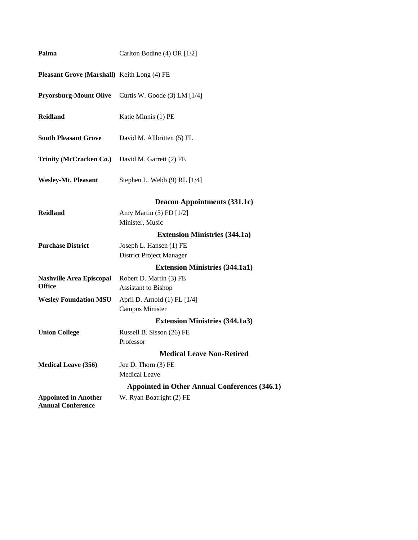| Palma                                                   | Carlton Bodine (4) OR [1/2]                   |
|---------------------------------------------------------|-----------------------------------------------|
| Pleasant Grove (Marshall) Keith Long (4) FE             |                                               |
| <b>Pryorsburg-Mount Olive</b>                           | Curtis W. Goode $(3)$ LM $[1/4]$              |
| <b>Reidland</b>                                         | Katie Minnis (1) PE                           |
| <b>South Pleasant Grove</b>                             | David M. Allbritten (5) FL                    |
| <b>Trinity (McCracken Co.)</b>                          | David M. Garrett (2) FE                       |
| <b>Wesley-Mt. Pleasant</b>                              | Stephen L. Webb (9) RL [1/4]                  |
|                                                         | <b>Deacon Appointments (331.1c)</b>           |
| <b>Reidland</b>                                         | Amy Martin $(5)$ FD $[1/2]$                   |
|                                                         | Minister, Music                               |
|                                                         | <b>Extension Ministries (344.1a)</b>          |
| <b>Purchase District</b>                                | Joseph L. Hansen (1) FE                       |
|                                                         | District Project Manager                      |
|                                                         | <b>Extension Ministries (344.1a1)</b>         |
| <b>Nashville Area Episcopal</b>                         | Robert D. Martin (3) FE                       |
| <b>Office</b>                                           | <b>Assistant to Bishop</b>                    |
| <b>Wesley Foundation MSU</b>                            | April D. Arnold (1) FL [1/4]                  |
|                                                         | <b>Campus Minister</b>                        |
|                                                         | <b>Extension Ministries (344.1a3)</b>         |
| <b>Union College</b>                                    | Russell B. Sisson (26) FE                     |
|                                                         | Professor                                     |
|                                                         | <b>Medical Leave Non-Retired</b>              |
| <b>Medical Leave (356)</b>                              | Joe D. Thorn $(3)$ FE                         |
|                                                         | <b>Medical Leave</b>                          |
|                                                         | Appointed in Other Annual Conferences (346.1) |
| <b>Appointed in Another</b><br><b>Annual Conference</b> | W. Ryan Boatright (2) FE                      |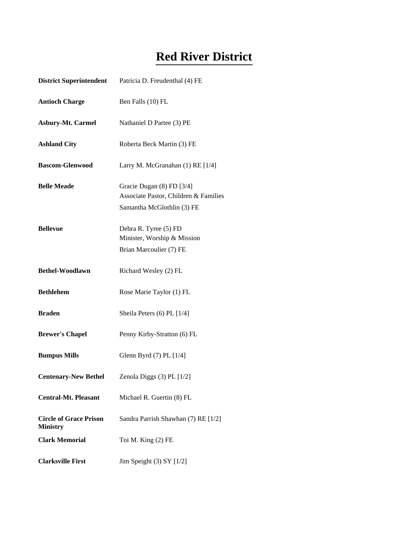## **Red River District**

| <b>District Superintendent</b>                   | Patricia D. Freudenthal (4) FE                                                                   |
|--------------------------------------------------|--------------------------------------------------------------------------------------------------|
| <b>Antioch Charge</b>                            | Ben Falls (10) FL                                                                                |
| <b>Asbury-Mt. Carmel</b>                         | Nathaniel D Partee (3) PE                                                                        |
| <b>Ashland City</b>                              | Roberta Beck Martin (3) FE                                                                       |
| <b>Bascom-Glenwood</b>                           | Larry M. McGranahan (1) RE [1/4]                                                                 |
| <b>Belle Meade</b>                               | Gracie Dugan (8) FD [3/4]<br>Associate Pastor, Children & Families<br>Samantha McGlothlin (3) FE |
| <b>Bellevue</b>                                  | Debra R. Tyree (5) FD<br>Minister, Worship & Mission<br>Brian Marcoulier (7) FE                  |
| <b>Bethel-Woodlawn</b>                           | Richard Wesley (2) FL                                                                            |
| <b>Bethlehem</b>                                 | Rose Marie Taylor (1) FL                                                                         |
| <b>Braden</b>                                    | Sheila Peters (6) PL [1/4]                                                                       |
| <b>Brewer's Chapel</b>                           | Penny Kirby-Stratton (6) FL                                                                      |
| <b>Bumpus Mills</b>                              | Glenn Byrd (7) PL [1/4]                                                                          |
| <b>Centenary-New Bethel</b>                      | Zenola Diggs $(3)$ PL $[1/2]$                                                                    |
| <b>Central-Mt. Pleasant</b>                      | Michael R. Guertin (8) FL                                                                        |
| <b>Circle of Grace Prison</b><br><b>Ministry</b> | Sandra Parrish Shawhan (7) RE [1/2]                                                              |
| <b>Clark Memorial</b>                            | Toi M. King (2) FE                                                                               |
| <b>Clarksville First</b>                         | Jim Speight $(3)$ SY $[1/2]$                                                                     |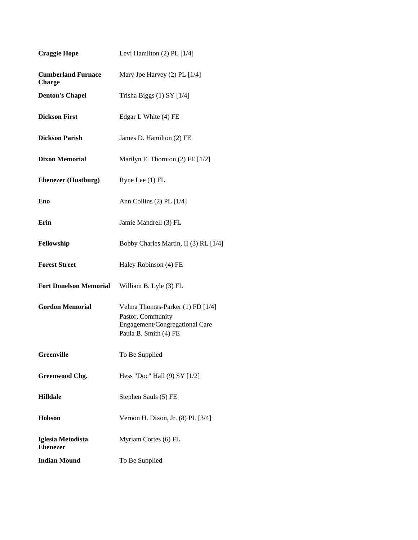| <b>Craggie Hope</b>                        | Levi Hamilton $(2)$ PL $[1/4]$                                                                                   |
|--------------------------------------------|------------------------------------------------------------------------------------------------------------------|
| <b>Cumberland Furnace</b><br><b>Charge</b> | Mary Joe Harvey $(2)$ PL $[1/4]$                                                                                 |
| <b>Denton's Chapel</b>                     | Trisha Biggs $(1)$ SY $[1/4]$                                                                                    |
| <b>Dickson First</b>                       | Edgar L White (4) FE                                                                                             |
| <b>Dickson Parish</b>                      | James D. Hamilton (2) FE                                                                                         |
| <b>Dixon Memorial</b>                      | Marilyn E. Thornton $(2)$ FE $[1/2]$                                                                             |
| <b>Ebenezer</b> (Hustburg)                 | Ryne Lee (1) FL                                                                                                  |
| Eno                                        | Ann Collins $(2)$ PL $[1/4]$                                                                                     |
| Erin                                       | Jamie Mandrell (3) FL                                                                                            |
| Fellowship                                 | Bobby Charles Martin, II (3) RL [1/4]                                                                            |
| <b>Forest Street</b>                       | Haley Robinson (4) FE                                                                                            |
| <b>Fort Donelson Memorial</b>              | William B. Lyle (3) FL                                                                                           |
| <b>Gordon Memorial</b>                     | Velma Thomas-Parker (1) FD [1/4]<br>Pastor, Community<br>Engagement/Congregational Care<br>Paula B. Smith (4) FE |
| <b>Greenville</b>                          | To Be Supplied                                                                                                   |
| Greenwood Chg.                             | Hess "Doc" Hall (9) SY [1/2]                                                                                     |
| <b>Hilldale</b>                            | Stephen Sauls (5) FE                                                                                             |
| <b>Hobson</b>                              | Vernon H. Dixon, Jr. (8) PL [3/4]                                                                                |
| Iglesia Metodista<br><b>Ebenezer</b>       | Myriam Cortes (6) FL                                                                                             |
| <b>Indian Mound</b>                        | To Be Supplied                                                                                                   |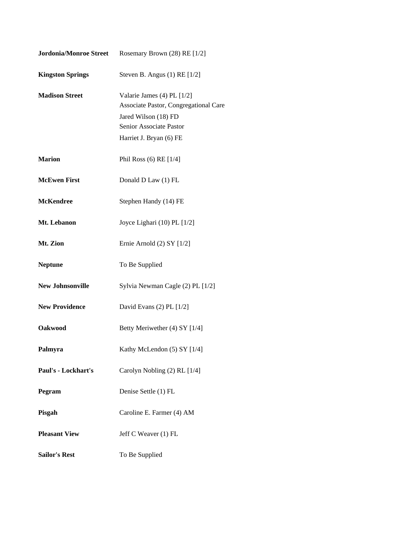| Jordonia/Monroe Street  | Rosemary Brown (28) RE [1/2]                                                                                                                      |
|-------------------------|---------------------------------------------------------------------------------------------------------------------------------------------------|
| <b>Kingston Springs</b> | Steven B. Angus $(1)$ RE $[1/2]$                                                                                                                  |
| <b>Madison Street</b>   | Valarie James (4) PL [1/2]<br>Associate Pastor, Congregational Care<br>Jared Wilson (18) FD<br>Senior Associate Pastor<br>Harriet J. Bryan (6) FE |
| <b>Marion</b>           | Phil Ross $(6)$ RE $[1/4]$                                                                                                                        |
| <b>McEwen First</b>     | Donald D Law (1) FL                                                                                                                               |
| <b>McKendree</b>        | Stephen Handy (14) FE                                                                                                                             |
| Mt. Lebanon             | Joyce Lighari (10) PL [1/2]                                                                                                                       |
| Mt. Zion                | Ernie Arnold $(2)$ SY $[1/2]$                                                                                                                     |
| <b>Neptune</b>          | To Be Supplied                                                                                                                                    |
| <b>New Johnsonville</b> | Sylvia Newman Cagle (2) PL [1/2]                                                                                                                  |
| <b>New Providence</b>   | David Evans (2) PL [1/2]                                                                                                                          |
| <b>Oakwood</b>          | Betty Meriwether (4) SY [1/4]                                                                                                                     |
| Palmyra                 | Kathy McLendon (5) SY [1/4]                                                                                                                       |
| Paul's - Lockhart's     | Carolyn Nobling (2) RL [1/4]                                                                                                                      |
| Pegram                  | Denise Settle (1) FL                                                                                                                              |
| Pisgah                  | Caroline E. Farmer (4) AM                                                                                                                         |
| <b>Pleasant View</b>    | Jeff C Weaver (1) FL                                                                                                                              |
| <b>Sailor's Rest</b>    | To Be Supplied                                                                                                                                    |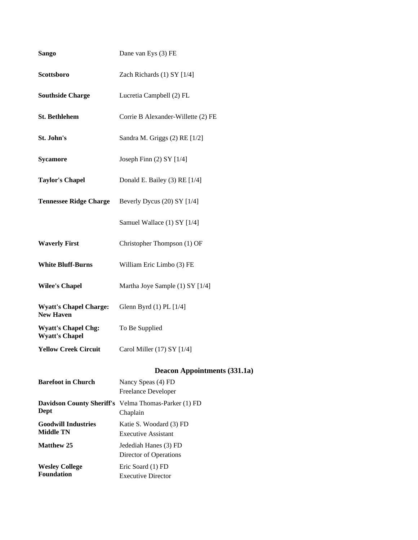| <b>Sango</b>                                        | Dane van Eys (3) FE                       |
|-----------------------------------------------------|-------------------------------------------|
| Scottsboro                                          | Zach Richards (1) SY [1/4]                |
| <b>Southside Charge</b>                             | Lucretia Campbell (2) FL                  |
| <b>St. Bethlehem</b>                                | Corrie B Alexander-Willette (2) FE        |
| St. John's                                          | Sandra M. Griggs (2) RE [1/2]             |
| <b>Sycamore</b>                                     | Joseph Finn $(2)$ SY $[1/4]$              |
| <b>Taylor's Chapel</b>                              | Donald E. Bailey (3) RE [1/4]             |
| <b>Tennessee Ridge Charge</b>                       | Beverly Dycus (20) SY [1/4]               |
|                                                     | Samuel Wallace (1) SY [1/4]               |
| <b>Waverly First</b>                                | Christopher Thompson (1) OF               |
| <b>White Bluff-Burns</b>                            | William Eric Limbo (3) FE                 |
| <b>Wilee's Chapel</b>                               | Martha Joye Sample (1) SY [1/4]           |
| <b>Wyatt's Chapel Charge:</b><br><b>New Haven</b>   | Glenn Byrd $(1)$ PL $[1/4]$               |
| <b>Wyatt's Chapel Chg:</b><br><b>Wyatt's Chapel</b> | To Be Supplied                            |
| <b>Yellow Creek Circuit</b>                         | Carol Miller (17) SY [1/4]                |
|                                                     | <b>Deacon Appointments (331.1a)</b>       |
| <b>Barefoot in Church</b>                           | Nancy Speas (4) FD<br>Freelance Developer |
|                                                     |                                           |

|                                            | <b>Freelance Developer</b>                                              |
|--------------------------------------------|-------------------------------------------------------------------------|
| Dept                                       | <b>Davidson County Sheriff's</b> Velma Thomas-Parker (1) FD<br>Chaplain |
| <b>Goodwill Industries</b><br>Middle TN    | Katie S. Woodard (3) FD<br>Executive Assistant                          |
| Matthew 25                                 | Jedediah Hanes (3) FD<br>Director of Operations                         |
| <b>Wesley College</b><br><b>Foundation</b> | Eric Soard (1) FD<br><b>Executive Director</b>                          |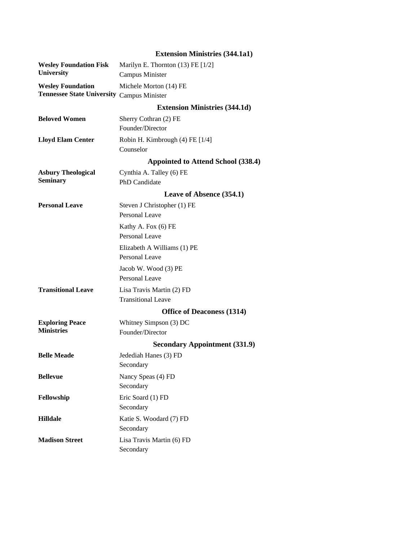| <b>Wesley Foundation Fisk</b>                | Marilyn E. Thornton (13) FE [1/2]                |
|----------------------------------------------|--------------------------------------------------|
| <b>University</b>                            | Campus Minister                                  |
| <b>Wesley Foundation</b>                     | Michele Morton (14) FE                           |
| <b>Tennessee State University</b>            | Campus Minister                                  |
|                                              | <b>Extension Ministries (344.1d)</b>             |
| <b>Beloved Women</b>                         | Sherry Cothran (2) FE                            |
|                                              | Founder/Director                                 |
| <b>Lloyd Elam Center</b>                     | Robin H. Kimbrough (4) FE [1/4]<br>Counselor     |
|                                              | Appointed to Attend School (338.4)               |
| <b>Asbury Theological</b><br><b>Seminary</b> | Cynthia A. Talley (6) FE<br><b>PhD</b> Candidate |
|                                              | Leave of Absence (354.1)                         |
| <b>Personal Leave</b>                        | Steven J Christopher (1) FE                      |
|                                              | <b>Personal Leave</b>                            |
|                                              | Kathy A. Fox (6) FE                              |
|                                              | Personal Leave                                   |
|                                              | Elizabeth A Williams (1) PE<br>Personal Leave    |
|                                              | Jacob W. Wood (3) PE                             |
|                                              | Personal Leave                                   |
| <b>Transitional Leave</b>                    | Lisa Travis Martin (2) FD                        |
|                                              | <b>Transitional Leave</b>                        |
|                                              | <b>Office of Deaconess (1314)</b>                |
| <b>Exploring Peace</b><br><b>Ministries</b>  | Whitney Simpson (3) DC<br>Founder/Director       |
|                                              | <b>Secondary Appointment (331.9)</b>             |
| <b>Belle Meade</b>                           | Jedediah Hanes (3) FD<br>Secondary               |
| <b>Bellevue</b>                              | Nancy Speas (4) FD                               |
|                                              | Secondary                                        |
| Fellowship                                   | Eric Soard (1) FD<br>Secondary                   |
| <b>Hilldale</b>                              | Katie S. Woodard (7) FD<br>Secondary             |
| <b>Madison Street</b>                        | Lisa Travis Martin (6) FD                        |
|                                              | Secondary                                        |

#### **Extension Ministries (344.1a1)**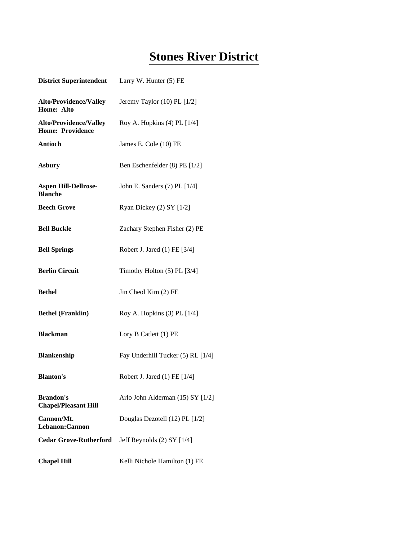## **Stones River District**

| <b>District Superintendent</b>                           | Larry W. Hunter (5) FE            |
|----------------------------------------------------------|-----------------------------------|
| Alto/Providence/Valley<br>Home: Alto                     | Jeremy Taylor $(10)$ PL $[1/2]$   |
| <b>Alto/Providence/Valley</b><br><b>Home: Providence</b> | Roy A. Hopkins $(4)$ PL $[1/4]$   |
| <b>Antioch</b>                                           | James E. Cole (10) FE             |
| <b>Asbury</b>                                            | Ben Eschenfelder (8) PE [1/2]     |
| <b>Aspen Hill-Dellrose-</b><br><b>Blanche</b>            | John E. Sanders (7) PL [1/4]      |
| <b>Beech Grove</b>                                       | Ryan Dickey $(2)$ SY $[1/2]$      |
| <b>Bell Buckle</b>                                       | Zachary Stephen Fisher (2) PE     |
| <b>Bell Springs</b>                                      | Robert J. Jared (1) FE [3/4]      |
| <b>Berlin Circuit</b>                                    | Timothy Holton $(5)$ PL $[3/4]$   |
| <b>Bethel</b>                                            | Jin Cheol Kim (2) FE              |
| <b>Bethel (Franklin)</b>                                 | Roy A. Hopkins $(3)$ PL $[1/4]$   |
| <b>Blackman</b>                                          | Lory B Catlett (1) PE             |
| <b>Blankenship</b>                                       | Fay Underhill Tucker (5) RL [1/4] |
| <b>Blanton's</b>                                         | Robert J. Jared (1) FE [1/4]      |
| <b>Brandon's</b><br><b>Chapel/Pleasant Hill</b>          | Arlo John Alderman (15) SY [1/2]  |
| Cannon/Mt.<br>Lebanon: Cannon                            | Douglas Dezotell (12) PL [1/2]    |
| <b>Cedar Grove-Rutherford</b>                            | Jeff Reynolds (2) SY [1/4]        |
| <b>Chapel Hill</b>                                       | Kelli Nichole Hamilton (1) FE     |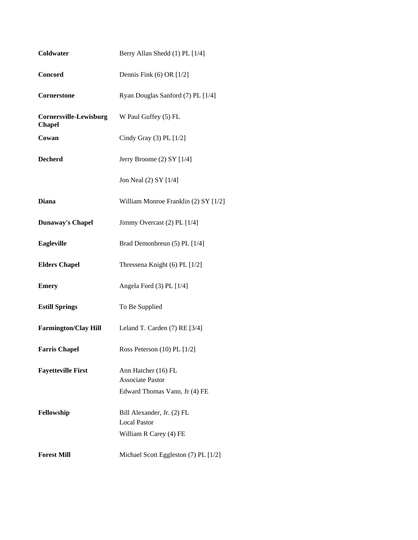| Coldwater                                      | Berry Allan Shedd (1) PL [1/4]                    |
|------------------------------------------------|---------------------------------------------------|
| <b>Concord</b>                                 | Dennis Fink $(6)$ OR $[1/2]$                      |
| <b>Cornerstone</b>                             | Ryan Douglas Sanford (7) PL [1/4]                 |
| <b>Cornersville-Lewisburg</b><br><b>Chapel</b> | W Paul Guffey (5) FL                              |
| Cowan                                          | Cindy Gray $(3)$ PL $[1/2]$                       |
| <b>Decherd</b>                                 | Jerry Broome $(2)$ SY $[1/4]$                     |
|                                                | Jon Neal (2) SY [1/4]                             |
| Diana                                          | William Monroe Franklin (2) SY [1/2]              |
| <b>Dunaway's Chapel</b>                        | Jimmy Overcast (2) PL [1/4]                       |
| <b>Eagleville</b>                              | Brad Demonbreun (5) PL [1/4]                      |
| <b>Elders Chapel</b>                           | Thressena Knight (6) PL [1/2]                     |
| <b>Emery</b>                                   | Angela Ford (3) PL [1/4]                          |
| <b>Estill Springs</b>                          | To Be Supplied                                    |
| <b>Farmington/Clay Hill</b>                    | Leland T. Carden (7) RE [3/4]                     |
| <b>Farris Chapel</b>                           | Ross Peterson (10) PL [1/2]                       |
| <b>Fayetteville First</b>                      | Ann Hatcher (16) FL<br><b>Associate Pastor</b>    |
|                                                | Edward Thomas Vann, Jr (4) FE                     |
| Fellowship                                     | Bill Alexander, Jr. (2) FL<br><b>Local Pastor</b> |
|                                                | William R Carey (4) FE                            |
| <b>Forest Mill</b>                             | Michael Scott Eggleston (7) PL [1/2]              |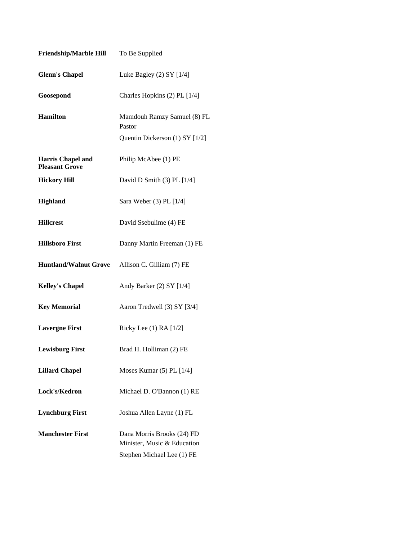| <b>Friendship/Marble Hill</b>              | To Be Supplied                                                                          |
|--------------------------------------------|-----------------------------------------------------------------------------------------|
| <b>Glenn's Chapel</b>                      | Luke Bagley $(2)$ SY $[1/4]$                                                            |
| Goosepond                                  | Charles Hopkins (2) PL [1/4]                                                            |
| <b>Hamilton</b>                            | Mamdouh Ramzy Samuel (8) FL<br>Pastor<br>Quentin Dickerson (1) SY [1/2]                 |
| Harris Chapel and<br><b>Pleasant Grove</b> | Philip McAbee (1) PE                                                                    |
| <b>Hickory Hill</b>                        | David D Smith $(3)$ PL $[1/4]$                                                          |
| <b>Highland</b>                            | Sara Weber (3) PL [1/4]                                                                 |
| <b>Hillcrest</b>                           | David Ssebulime (4) FE                                                                  |
| <b>Hillsboro First</b>                     | Danny Martin Freeman (1) FE                                                             |
| <b>Huntland/Walnut Grove</b>               | Allison C. Gilliam (7) FE                                                               |
| <b>Kelley's Chapel</b>                     | Andy Barker (2) SY [1/4]                                                                |
| <b>Key Memorial</b>                        | Aaron Tredwell (3) SY [3/4]                                                             |
| <b>Lavergne First</b>                      | Ricky Lee $(1)$ RA $[1/2]$                                                              |
| <b>Lewisburg First</b>                     | Brad H. Holliman (2) FE                                                                 |
| <b>Lillard Chapel</b>                      | Moses Kumar $(5)$ PL $[1/4]$                                                            |
| Lock's/Kedron                              | Michael D. O'Bannon (1) RE                                                              |
| <b>Lynchburg First</b>                     | Joshua Allen Layne (1) FL                                                               |
| <b>Manchester First</b>                    | Dana Morris Brooks (24) FD<br>Minister, Music & Education<br>Stephen Michael Lee (1) FE |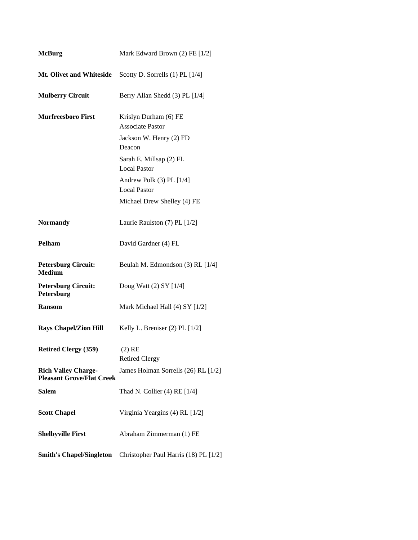| <b>McBurg</b>                                                  | Mark Edward Brown (2) FE [1/2]                   |
|----------------------------------------------------------------|--------------------------------------------------|
| Mt. Olivet and Whiteside                                       | Scotty D. Sorrells $(1)$ PL $[1/4]$              |
| <b>Mulberry Circuit</b>                                        | Berry Allan Shedd (3) PL [1/4]                   |
| <b>Murfreesboro First</b>                                      | Krislyn Durham (6) FE<br><b>Associate Pastor</b> |
|                                                                | Jackson W. Henry (2) FD<br>Deacon                |
|                                                                | Sarah E. Millsap (2) FL<br><b>Local Pastor</b>   |
|                                                                | Andrew Polk $(3)$ PL $[1/4]$<br>Local Pastor     |
|                                                                | Michael Drew Shelley (4) FE                      |
| <b>Normandy</b>                                                | Laurie Raulston (7) PL [1/2]                     |
| Pelham                                                         | David Gardner (4) FL                             |
| <b>Petersburg Circuit:</b><br><b>Medium</b>                    | Beulah M. Edmondson (3) RL [1/4]                 |
| <b>Petersburg Circuit:</b><br>Petersburg                       | Doug Watt (2) SY [1/4]                           |
| <b>Ransom</b>                                                  | Mark Michael Hall (4) SY [1/2]                   |
| <b>Rays Chapel/Zion Hill</b>                                   | Kelly L. Breniser $(2)$ PL $[1/2]$               |
| <b>Retired Clergy (359)</b>                                    | $(2)$ RE<br><b>Retired Clergy</b>                |
| <b>Rich Valley Charge-</b><br><b>Pleasant Grove/Flat Creek</b> | James Holman Sorrells (26) RL [1/2]              |
| <b>Salem</b>                                                   | Thad N. Collier (4) RE $[1/4]$                   |
| <b>Scott Chapel</b>                                            | Virginia Yeargins (4) RL [1/2]                   |
| <b>Shelbyville First</b>                                       | Abraham Zimmerman (1) FE                         |
| <b>Smith's Chapel/Singleton</b>                                | Christopher Paul Harris (18) PL [1/2]            |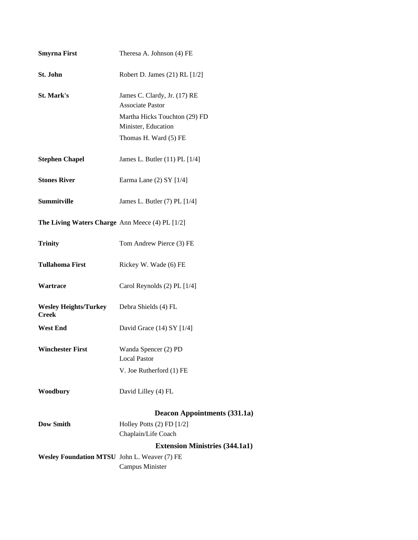| <b>Smyrna First</b>                             | Theresa A. Johnson (4) FE                               |
|-------------------------------------------------|---------------------------------------------------------|
| St. John                                        | Robert D. James (21) RL [1/2]                           |
| <b>St. Mark's</b>                               | James C. Clardy, Jr. (17) RE<br><b>Associate Pastor</b> |
|                                                 | Martha Hicks Touchton (29) FD<br>Minister, Education    |
|                                                 | Thomas H. Ward (5) FE                                   |
| <b>Stephen Chapel</b>                           | James L. Butler (11) PL [1/4]                           |
| <b>Stones River</b>                             | Earma Lane (2) SY [1/4]                                 |
| Summitville                                     | James L. Butler (7) PL [1/4]                            |
| The Living Waters Charge Ann Meece (4) PL [1/2] |                                                         |
| <b>Trinity</b>                                  | Tom Andrew Pierce (3) FE                                |
| <b>Tullahoma First</b>                          | Rickey W. Wade (6) FE                                   |
| Wartrace                                        | Carol Reynolds (2) PL [1/4]                             |
| <b>Wesley Heights/Turkey</b><br><b>Creek</b>    | Debra Shields (4) FL                                    |
| <b>West End</b>                                 | David Grace $(14)$ SY $[1/4]$                           |
| <b>Winchester First</b>                         | Wanda Spencer (2) PD<br><b>Local Pastor</b>             |
|                                                 | V. Joe Rutherford (1) FE                                |
| Woodbury                                        | David Lilley (4) FL                                     |
|                                                 | <b>Deacon Appointments (331.1a)</b>                     |
| <b>Dow Smith</b>                                | Holley Potts $(2)$ FD $[1/2]$<br>Chaplain/Life Coach    |
|                                                 | <b>Extension Ministries (344.1a1)</b>                   |
| Wesley Foundation MTSU John L. Weaver (7) FE    | <b>Campus Minister</b>                                  |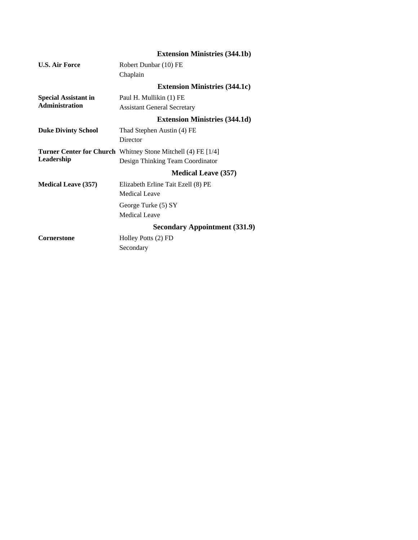#### **Extension Ministries (344.1b)**

| <b>U.S. Air Force</b>                                | Robert Dunbar (10) FE<br>Chaplain                                                                       |
|------------------------------------------------------|---------------------------------------------------------------------------------------------------------|
|                                                      | <b>Extension Ministries (344.1c)</b>                                                                    |
| <b>Special Assistant in</b><br><b>Administration</b> | Paul H. Mullikin (1) FE<br><b>Assistant General Secretary</b>                                           |
|                                                      | <b>Extension Ministries (344.1d)</b>                                                                    |
| <b>Duke Divinty School</b>                           | Thad Stephen Austin (4) FE<br>Director                                                                  |
| Leadership                                           | <b>Turner Center for Church</b> Whitney Stone Mitchell (4) FE [1/4]<br>Design Thinking Team Coordinator |
|                                                      | <b>Medical Leave (357)</b>                                                                              |
| <b>Medical Leave (357)</b>                           | Elizabeth Erline Tait Ezell (8) PE<br>Medical Leave                                                     |
|                                                      | George Turke (5) SY<br><b>Medical Leave</b>                                                             |
|                                                      | <b>Secondary Appointment (331.9)</b>                                                                    |
| <b>Cornerstone</b>                                   | Holley Potts (2) FD<br>Secondary                                                                        |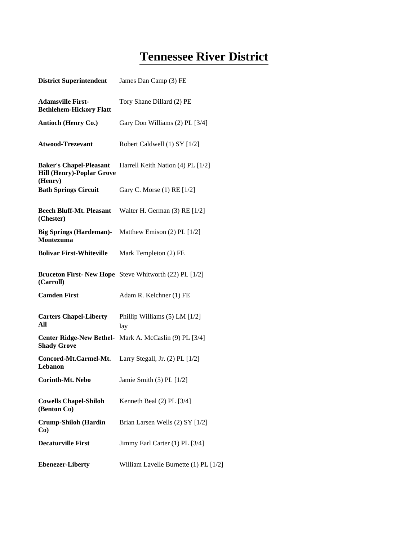### **Tennessee River District**

| <b>District Superintendent</b>                                                | James Dan Camp (3) FE                                         |
|-------------------------------------------------------------------------------|---------------------------------------------------------------|
| <b>Adamsville First-</b><br><b>Bethlehem-Hickory Flatt</b>                    | Tory Shane Dillard (2) PE                                     |
| <b>Antioch (Henry Co.)</b>                                                    | Gary Don Williams (2) PL [3/4]                                |
| <b>Atwood-Trezevant</b>                                                       | Robert Caldwell (1) SY [1/2]                                  |
| <b>Baker's Chapel-Pleasant</b><br><b>Hill (Henry)-Poplar Grove</b><br>(Henry) | Harrell Keith Nation (4) PL [1/2]                             |
| <b>Bath Springs Circuit</b>                                                   | Gary C. Morse (1) RE [1/2]                                    |
| <b>Beech Bluff-Mt. Pleasant</b><br>(Chester)                                  | Walter H. German $(3)$ RE $[1/2]$                             |
| <b>Big Springs (Hardeman)-</b><br><b>Montezuma</b>                            | Matthew Emison $(2)$ PL $[1/2]$                               |
| <b>Bolivar First-Whiteville</b>                                               | Mark Templeton (2) FE                                         |
| (Carroll)                                                                     | <b>Bruceton First- New Hope</b> Steve Whitworth (22) PL [1/2] |
| <b>Camden First</b>                                                           | Adam R. Kelchner (1) FE                                       |
| <b>Carters Chapel-Liberty</b><br>All                                          | Phillip Williams $(5)$ LM $[1/2]$<br>lay                      |
| <b>Shady Grove</b>                                                            | Center Ridge-New Bethel- Mark A. McCaslin (9) PL [3/4]        |
| Concord-Mt.Carmel-Mt.<br>Lebanon                                              | Larry Stegall, Jr. $(2)$ PL $[1/2]$                           |
| Corinth-Mt. Nebo                                                              | Jamie Smith $(5)$ PL $[1/2]$                                  |
| <b>Cowells Chapel-Shiloh</b><br>(Benton Co)                                   | Kenneth Beal (2) PL [3/4]                                     |
| <b>Crump-Shiloh (Hardin</b><br>$Co$ )                                         | Brian Larsen Wells (2) SY [1/2]                               |
| <b>Decaturville First</b>                                                     | Jimmy Earl Carter (1) PL [3/4]                                |
| <b>Ebenezer-Liberty</b>                                                       | William Lavelle Burnette (1) PL [1/2]                         |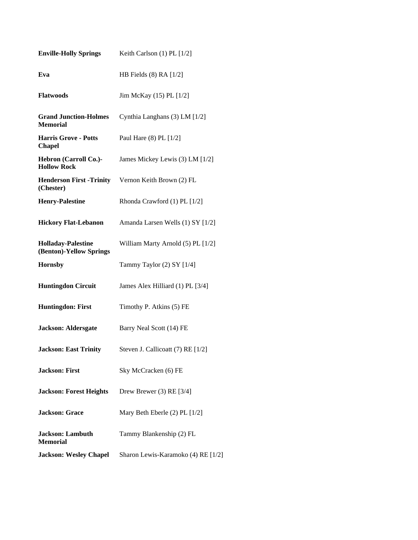| <b>Enville-Holly Springs</b>                         | Keith Carlson (1) PL [1/2]         |
|------------------------------------------------------|------------------------------------|
| Eva                                                  | HB Fields $(8)$ RA $[1/2]$         |
| <b>Flatwoods</b>                                     | Jim McKay (15) PL [1/2]            |
| <b>Grand Junction-Holmes</b><br><b>Memorial</b>      | Cynthia Langhans (3) LM [1/2]      |
| <b>Harris Grove - Potts</b><br><b>Chapel</b>         | Paul Hare $(8)$ PL $[1/2]$         |
| Hebron (Carroll Co.)-<br><b>Hollow Rock</b>          | James Mickey Lewis (3) LM [1/2]    |
| <b>Henderson First -Trinity</b><br>(Chester)         | Vernon Keith Brown (2) FL          |
| <b>Henry-Palestine</b>                               | Rhonda Crawford (1) PL [1/2]       |
| <b>Hickory Flat-Lebanon</b>                          | Amanda Larsen Wells (1) SY [1/2]   |
| <b>Holladay-Palestine</b><br>(Benton)-Yellow Springs | William Marty Arnold (5) PL [1/2]  |
| <b>Hornsby</b>                                       | Tammy Taylor $(2)$ SY $[1/4]$      |
| <b>Huntingdon Circuit</b>                            | James Alex Hilliard (1) PL [3/4]   |
| <b>Huntingdon: First</b>                             | Timothy P. Atkins (5) FE           |
| <b>Jackson: Aldersgate</b>                           | Barry Neal Scott (14) FE           |
| <b>Jackson: East Trinity</b>                         | Steven J. Callicoatt (7) RE [1/2]  |
| <b>Jackson: First</b>                                | Sky McCracken (6) FE               |
| <b>Jackson: Forest Heights</b>                       | Drew Brewer $(3)$ RE $[3/4]$       |
| <b>Jackson: Grace</b>                                | Mary Beth Eberle (2) PL [1/2]      |
| <b>Jackson: Lambuth</b><br><b>Memorial</b>           | Tammy Blankenship (2) FL           |
| <b>Jackson: Wesley Chapel</b>                        | Sharon Lewis-Karamoko (4) RE [1/2] |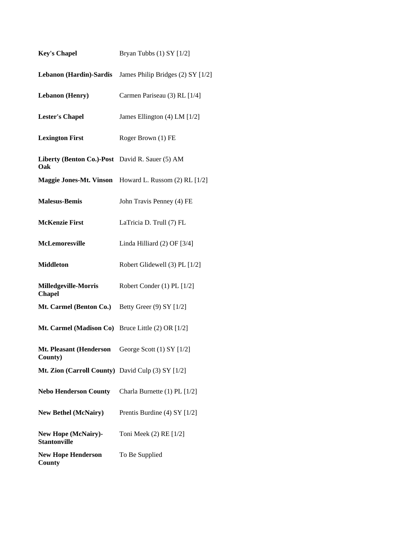| <b>Key's Chapel</b>                                    | Bryan Tubbs $(1)$ SY $[1/2]$                          |
|--------------------------------------------------------|-------------------------------------------------------|
| Lebanon (Hardin)-Sardis                                | James Philip Bridges (2) SY [1/2]                     |
| <b>Lebanon</b> (Henry)                                 | Carmen Pariseau (3) RL [1/4]                          |
| <b>Lester's Chapel</b>                                 | James Ellington (4) LM [1/2]                          |
| <b>Lexington First</b>                                 | Roger Brown (1) FE                                    |
| Liberty (Benton Co.)-Post David R. Sauer (5) AM<br>Oak |                                                       |
|                                                        | Maggie Jones-Mt. Vinson Howard L. Russom (2) RL [1/2] |
| <b>Malesus-Bemis</b>                                   | John Travis Penney (4) FE                             |
| <b>McKenzie First</b>                                  | LaTricia D. Trull (7) FL                              |
| <b>McLemoresville</b>                                  | Linda Hilliard (2) OF [3/4]                           |
| <b>Middleton</b>                                       | Robert Glidewell (3) PL [1/2]                         |
| Milledgeville-Morris<br><b>Chapel</b>                  | Robert Conder (1) PL [1/2]                            |
| Mt. Carmel (Benton Co.)                                | Betty Greer $(9)$ SY $[1/2]$                          |
| Mt. Carmel (Madison Co) Bruce Little (2) OR [1/2]      |                                                       |
| Mt. Pleasant (Henderson<br>County)                     | George Scott (1) SY [1/2]                             |
| Mt. Zion (Carroll County) David Culp (3) SY [1/2]      |                                                       |
| <b>Nebo Henderson County</b>                           | Charla Burnette (1) PL [1/2]                          |
| <b>New Bethel (McNairy)</b>                            | Prentis Burdine $(4)$ SY $[1/2]$                      |
| <b>New Hope (McNairy)-</b><br>Stantonville             | Toni Meek (2) RE [1/2]                                |
| <b>New Hope Henderson</b><br>County                    | To Be Supplied                                        |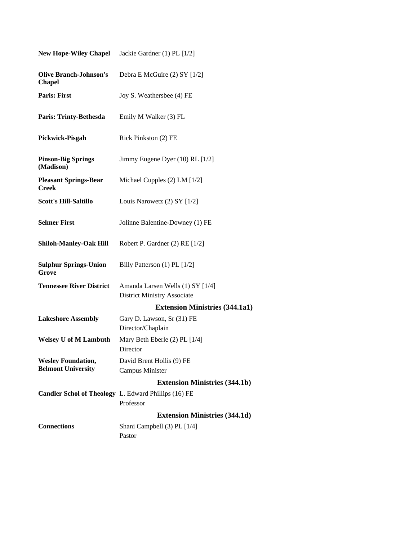| <b>New Hope-Wiley Chapel</b>                           | Jackie Gardner (1) PL [1/2]                                            |
|--------------------------------------------------------|------------------------------------------------------------------------|
| <b>Olive Branch-Johnson's</b><br><b>Chapel</b>         | Debra E McGuire (2) SY [1/2]                                           |
| Paris: First                                           | Joy S. Weathersbee (4) FE                                              |
| Paris: Trinty-Bethesda                                 | Emily M Walker (3) FL                                                  |
| Pickwick-Pisgah                                        | Rick Pinkston (2) FE                                                   |
| <b>Pinson-Big Springs</b><br>(Madison)                 | Jimmy Eugene Dyer (10) RL [1/2]                                        |
| <b>Pleasant Springs-Bear</b><br>Creek                  | Michael Cupples (2) LM [1/2]                                           |
| Scott's Hill-Saltillo                                  | Louis Narowetz (2) SY [1/2]                                            |
| Selmer First                                           | Jolinne Balentine-Downey (1) FE                                        |
| <b>Shiloh-Manley-Oak Hill</b>                          | Robert P. Gardner (2) RE [1/2]                                         |
| <b>Sulphur Springs-Union</b><br>Grove                  | Billy Patterson (1) PL [1/2]                                           |
| <b>Tennessee River District</b>                        | Amanda Larsen Wells (1) SY [1/4]<br><b>District Ministry Associate</b> |
|                                                        | <b>Extension Ministries (344.1a1)</b>                                  |
| <b>Lakeshore Assembly</b>                              | Gary D. Lawson, Sr (31) FE<br>Director/Chaplain                        |
| <b>Welsey U of M Lambuth</b>                           | Mary Beth Eberle (2) PL [1/4]<br>Director                              |
| <b>Wesley Foundation,</b><br><b>Belmont University</b> | David Brent Hollis (9) FE<br><b>Campus Minister</b>                    |
|                                                        | <b>Extension Ministries (344.1b)</b>                                   |
| Candler Schol of Theology L. Edward Phillips (16) FE   | Professor                                                              |
|                                                        | <b>Extension Ministries (344.1d)</b>                                   |
| <b>Connections</b>                                     | Shani Campbell (3) PL [1/4]<br>Pastor                                  |
|                                                        |                                                                        |